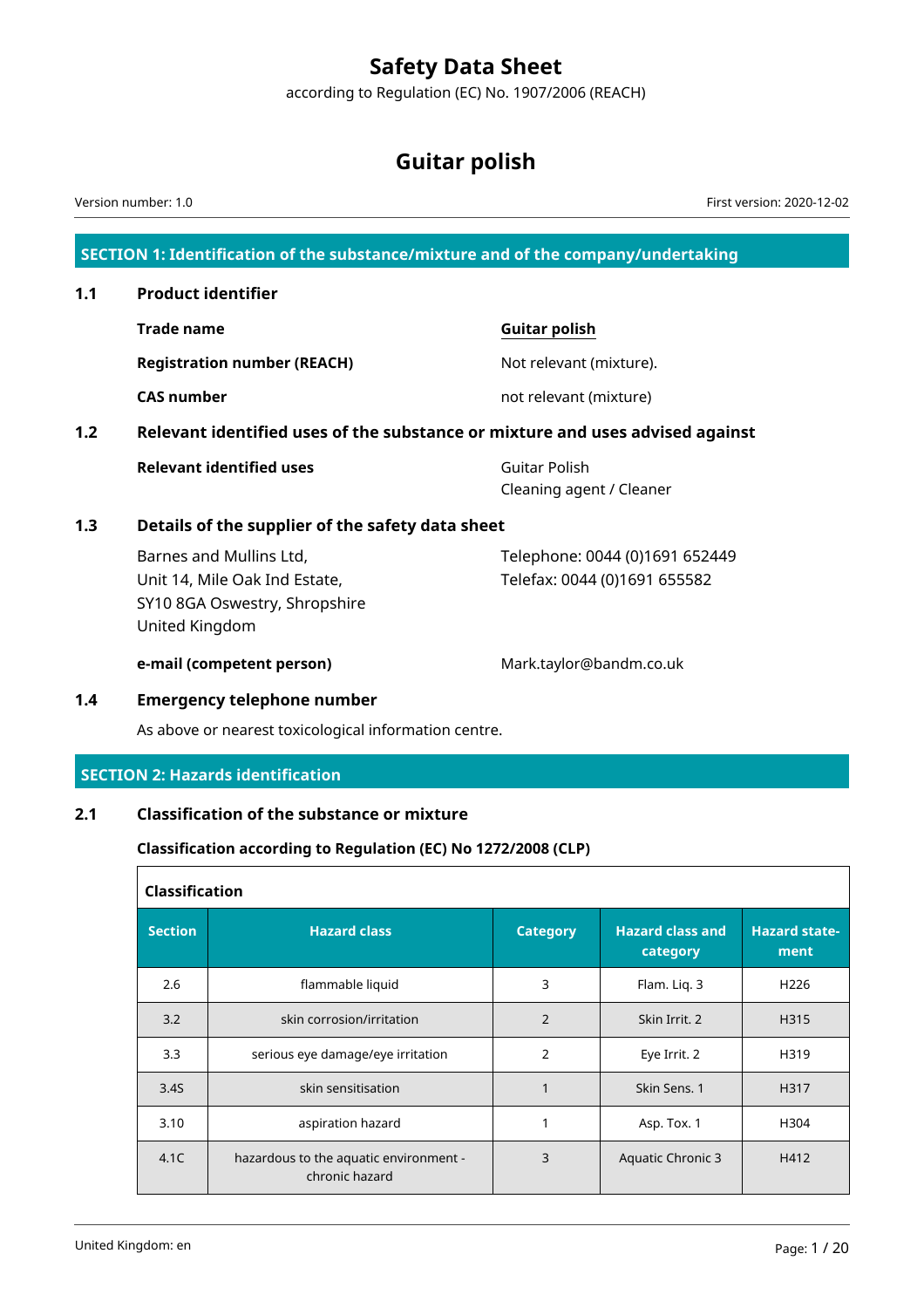# **Safety Data Sheet**

according to Regulation (EC) No. 1907/2006 (REACH)

# **Guitar polish**

**SECTION 1: Identification of the substance/mixture and of the company/undertaking 1.1 Product identifier Trade name Guitar polish Registration number (REACH)** Not relevant (mixture). **CAS number not relevant (mixture) 1.2 Relevant identified uses of the substance or mixture and uses advised against Relevant identified uses Guitar Polish** Cleaning agent / Cleaner **1.3 Details of the supplier of the safety data sheet** Barnes and Mullins Ltd, Unit 14, Mile Oak Ind Estate, SY10 8GA Oswestry, Shropshire United Kingdom Telephone: 0044 (0)1691 652449 Telefax: 0044 (0)1691 655582 **e-mail (competent person)** Mark.taylor@bandm.co.uk **1.4 Emergency telephone number** As above or nearest toxicological information centre. **SECTION 2: Hazards identification 2.1 Classification of the substance or mixture Classification according to Regulation (EC) No 1272/2008 (CLP) Classification Section Hazard class Category Hazard class and category Hazard statement** Version number: 1.0 First version: 2020-12-02

| 2.6  | flammable liquid                                         | 3              | Flam. Lig. 3      | H <sub>226</sub> |
|------|----------------------------------------------------------|----------------|-------------------|------------------|
| 3.2  | skin corrosion/irritation                                | 2              | Skin Irrit. 2     | H315             |
| 3.3  | serious eye damage/eye irritation                        | $\overline{2}$ | Eye Irrit. 2      | H319             |
| 3.4S | skin sensitisation                                       |                | Skin Sens. 1      | H317             |
| 3.10 | aspiration hazard                                        |                | Asp. Tox. 1       | H304             |
| 4.1C | hazardous to the aquatic environment -<br>chronic hazard | 3              | Aquatic Chronic 3 | H412             |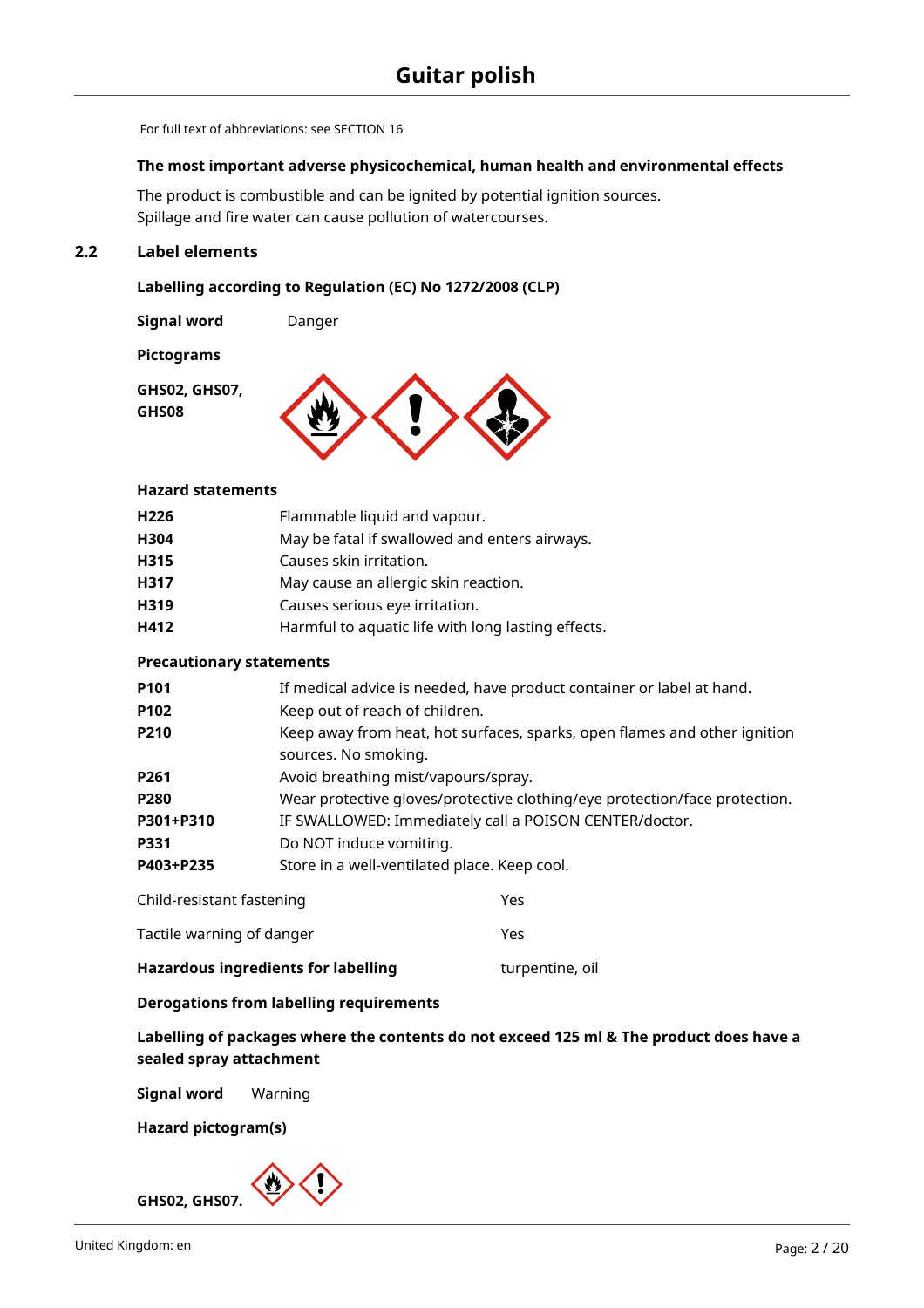For full text of abbreviations: see SECTION 16

#### **The most important adverse physicochemical, human health and environmental effects**

The product is combustible and can be ignited by potential ignition sources. Spillage and fire water can cause pollution of watercourses.

# **2.2 Label elements**

#### **Labelling according to Regulation (EC) No 1272/2008 (CLP)**

**Signal word Danger** 

**Pictograms**

**GHS02, GHS07, GHS08**



#### **Hazard statements**

| H226 | Flammable liquid and vapour.                       |
|------|----------------------------------------------------|
| H304 | May be fatal if swallowed and enters airways.      |
| H315 | Causes skin irritation.                            |
| H317 | May cause an allergic skin reaction.               |
| H319 | Causes serious eye irritation.                     |
| H412 | Harmful to aquatic life with long lasting effects. |
|      |                                                    |

#### **Precautionary statements**

| P <sub>101</sub>          | If medical advice is needed, have product container or label at hand.                             |  |  |  |  |  |
|---------------------------|---------------------------------------------------------------------------------------------------|--|--|--|--|--|
| P <sub>102</sub>          | Keep out of reach of children.                                                                    |  |  |  |  |  |
| P210                      | Keep away from heat, hot surfaces, sparks, open flames and other ignition<br>sources. No smoking. |  |  |  |  |  |
| P <sub>261</sub>          | Avoid breathing mist/vapours/spray.                                                               |  |  |  |  |  |
| P280                      | Wear protective gloves/protective clothing/eye protection/face protection.                        |  |  |  |  |  |
| P301+P310                 | IF SWALLOWED: Immediately call a POISON CENTER/doctor.                                            |  |  |  |  |  |
| <b>P331</b>               | Do NOT induce vomiting.                                                                           |  |  |  |  |  |
| P403+P235                 | Store in a well-ventilated place. Keep cool.                                                      |  |  |  |  |  |
| Child-resistant fastening | Yes                                                                                               |  |  |  |  |  |

|     |  | Tactile warning of danger |  |  |  |  | Yes |  |
|-----|--|---------------------------|--|--|--|--|-----|--|
| ___ |  |                           |  |  |  |  |     |  |

Hazardous ingredients for labelling **the act of the same of the Hazardous** ingredients for labelling

#### **Derogations from labelling requirements**

**Labelling of packages where the contents do not exceed 125 ml & The product does have a sealed spray attachment**

**Signal word** Warning

**Hazard pictogram(s)**

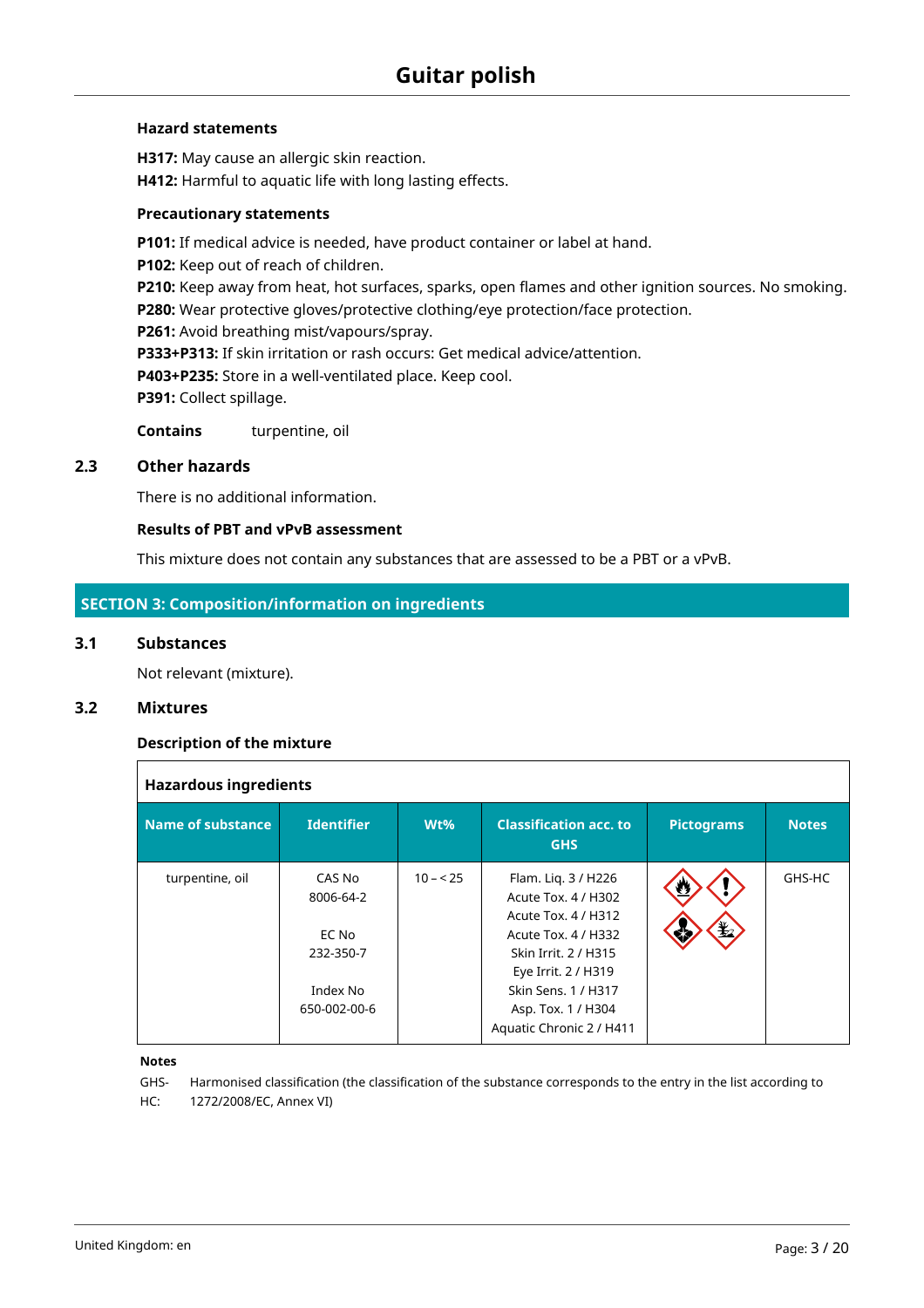#### **Hazard statements**

**H317:** May cause an allergic skin reaction. **H412:** Harmful to aquatic life with long lasting effects.

#### **Precautionary statements**

**P101:** If medical advice is needed, have product container or label at hand. **P102:** Keep out of reach of children. **P210:** Keep away from heat, hot surfaces, sparks, open flames and other ignition sources. No smoking. **P280:** Wear protective gloves/protective clothing/eye protection/face protection. **P261:** Avoid breathing mist/vapours/spray. **P333+P313:** If skin irritation or rash occurs: Get medical advice/attention. **P403+P235:** Store in a well-ventilated place. Keep cool. P391: Collect spillage. **Contains** turpentine, oil

#### **2.3 Other hazards**

There is no additional information.

#### **Results of PBT and vPvB assessment**

This mixture does not contain any substances that are assessed to be a PBT or a vPvB.

# **SECTION 3: Composition/information on ingredients**

#### **3.1 Substances**

Not relevant (mixture).

# **3.2 Mixtures**

 $\overline{1}$ 

#### **Description of the mixture**

| <b>Hazardous ingredients</b> |                                                                       |           |                                                                                                                                                                                                                  |                         |              |  |  |  |  |  |  |  |
|------------------------------|-----------------------------------------------------------------------|-----------|------------------------------------------------------------------------------------------------------------------------------------------------------------------------------------------------------------------|-------------------------|--------------|--|--|--|--|--|--|--|
| Name of substance            | <b>Identifier</b>                                                     | Wt%       | <b>Classification acc. to</b><br><b>GHS</b>                                                                                                                                                                      | <b>Pictograms</b>       | <b>Notes</b> |  |  |  |  |  |  |  |
| turpentine, oil              | CAS No<br>8006-64-2<br>EC No<br>232-350-7<br>Index No<br>650-002-00-6 | $10 - 25$ | Flam. Lig. 3 / H226<br>Acute Tox. 4 / H302<br>Acute Tox. 4 / H312<br>Acute Tox. 4 / H332<br>Skin Irrit, 2 / H315<br>Eye Irrit. 2 / H319<br>Skin Sens. 1 / H317<br>Asp. Tox. 1 / H304<br>Aquatic Chronic 2 / H411 | Ø<br>$\mathbf{E}$<br>۵ħ | GHS-HC       |  |  |  |  |  |  |  |

#### **Notes**

GHS-Harmonised classification (the classification of the substance corresponds to the entry in the list according to HC: 1272/2008/EC, Annex VI)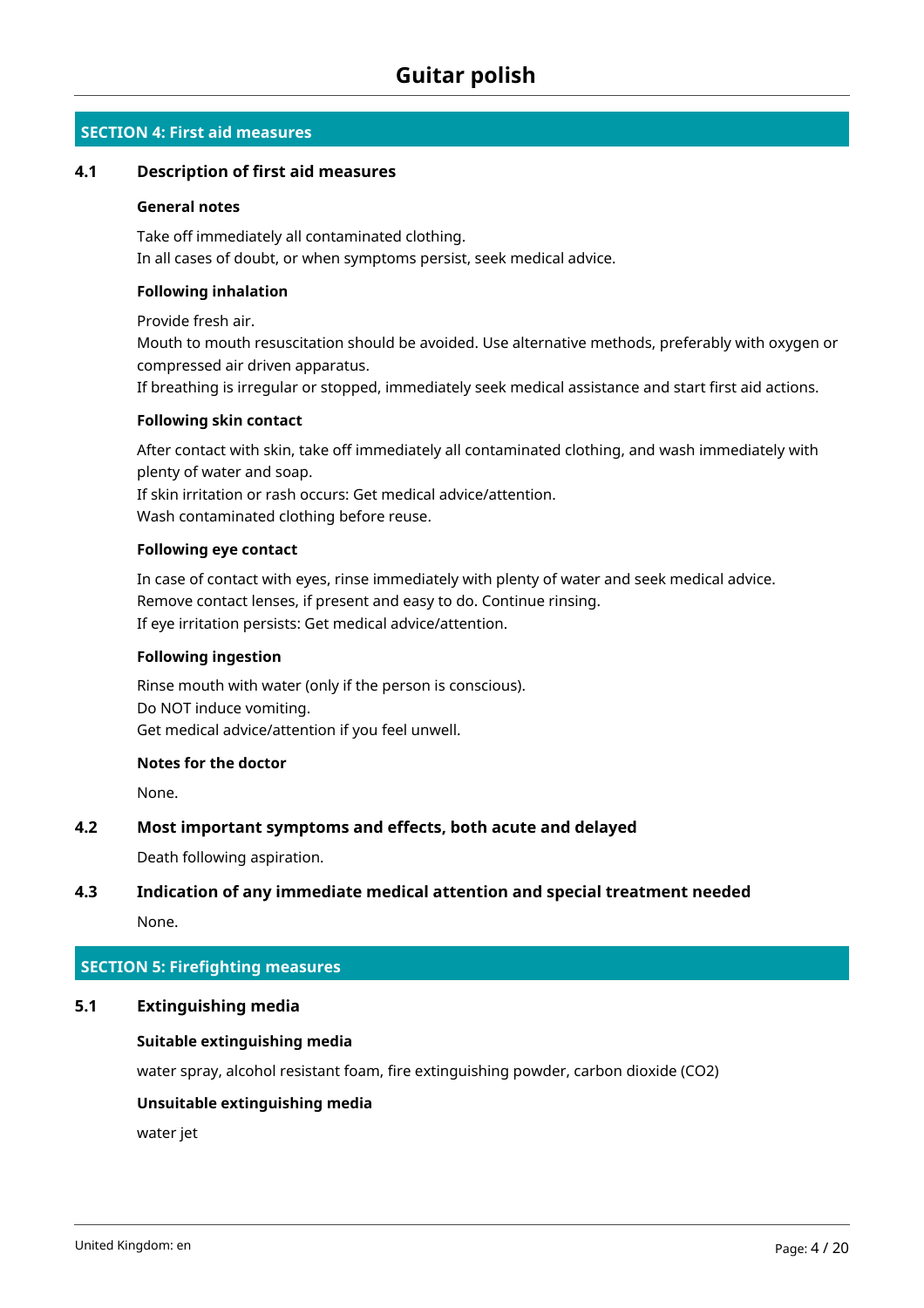# **SECTION 4: First aid measures**

#### **4.1 Description of first aid measures**

#### **General notes**

Take off immediately all contaminated clothing. In all cases of doubt, or when symptoms persist, seek medical advice.

#### **Following inhalation**

Provide fresh air.

Mouth to mouth resuscitation should be avoided. Use alternative methods, preferably with oxygen or compressed air driven apparatus.

If breathing is irregular or stopped, immediately seek medical assistance and start first aid actions.

#### **Following skin contact**

After contact with skin, take off immediately all contaminated clothing, and wash immediately with plenty of water and soap. If skin irritation or rash occurs: Get medical advice/attention.

Wash contaminated clothing before reuse.

#### **Following eye contact**

In case of contact with eyes, rinse immediately with plenty of water and seek medical advice. Remove contact lenses, if present and easy to do. Continue rinsing. If eye irritation persists: Get medical advice/attention.

#### **Following ingestion**

Rinse mouth with water (only if the person is conscious). Do NOT induce vomiting. Get medical advice/attention if you feel unwell.

#### **Notes for the doctor**

None.

#### **4.2 Most important symptoms and effects, both acute and delayed**

Death following aspiration.

# **4.3 Indication of any immediate medical attention and special treatment needed**

None.

#### **SECTION 5: Firefighting measures**

#### **5.1 Extinguishing media**

#### **Suitable extinguishing media**

water spray, alcohol resistant foam, fire extinguishing powder, carbon dioxide (CO2)

#### **Unsuitable extinguishing media**

water jet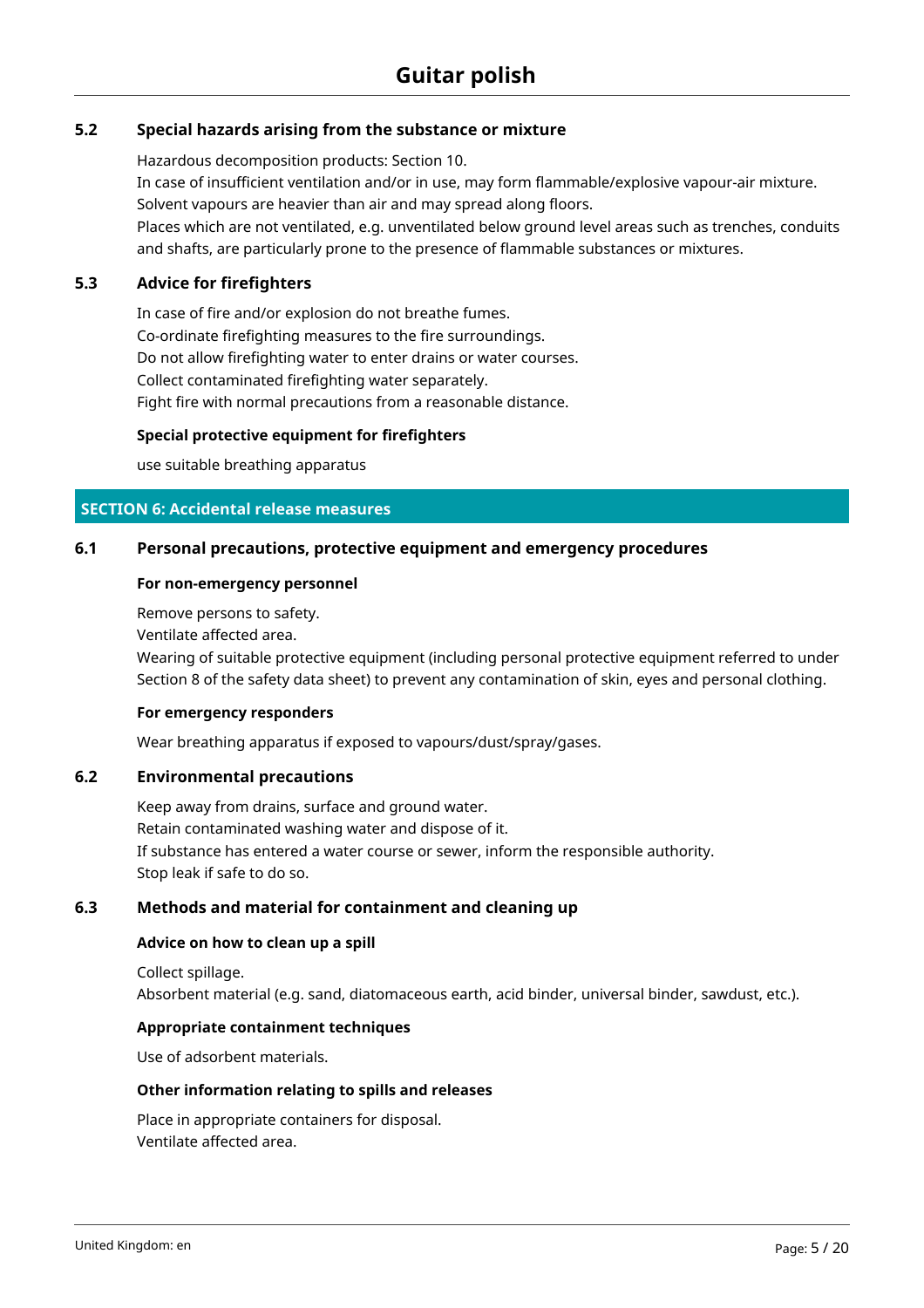# **5.2 Special hazards arising from the substance or mixture**

Hazardous decomposition products: Section 10.

In case of insufficient ventilation and/or in use, may form flammable/explosive vapour-air mixture. Solvent vapours are heavier than air and may spread along floors.

Places which are not ventilated, e.g. unventilated below ground level areas such as trenches, conduits and shafts, are particularly prone to the presence of flammable substances or mixtures.

### **5.3 Advice for firefighters**

In case of fire and/or explosion do not breathe fumes. Co-ordinate firefighting measures to the fire surroundings. Do not allow firefighting water to enter drains or water courses. Collect contaminated firefighting water separately. Fight fire with normal precautions from a reasonable distance.

#### **Special protective equipment for firefighters**

use suitable breathing apparatus

### **SECTION 6: Accidental release measures**

#### **6.1 Personal precautions, protective equipment and emergency procedures**

#### **For non-emergency personnel**

Remove persons to safety.

Ventilate affected area.

Wearing of suitable protective equipment (including personal protective equipment referred to under Section 8 of the safety data sheet) to prevent any contamination of skin, eyes and personal clothing.

#### **For emergency responders**

Wear breathing apparatus if exposed to vapours/dust/spray/gases.

#### **6.2 Environmental precautions**

Keep away from drains, surface and ground water. Retain contaminated washing water and dispose of it. If substance has entered a water course or sewer, inform the responsible authority. Stop leak if safe to do so.

### **6.3 Methods and material for containment and cleaning up**

#### **Advice on how to clean up a spill**

Collect spillage. Absorbent material (e.g. sand, diatomaceous earth, acid binder, universal binder, sawdust, etc.).

#### **Appropriate containment techniques**

Use of adsorbent materials.

#### **Other information relating to spills and releases**

Place in appropriate containers for disposal. Ventilate affected area.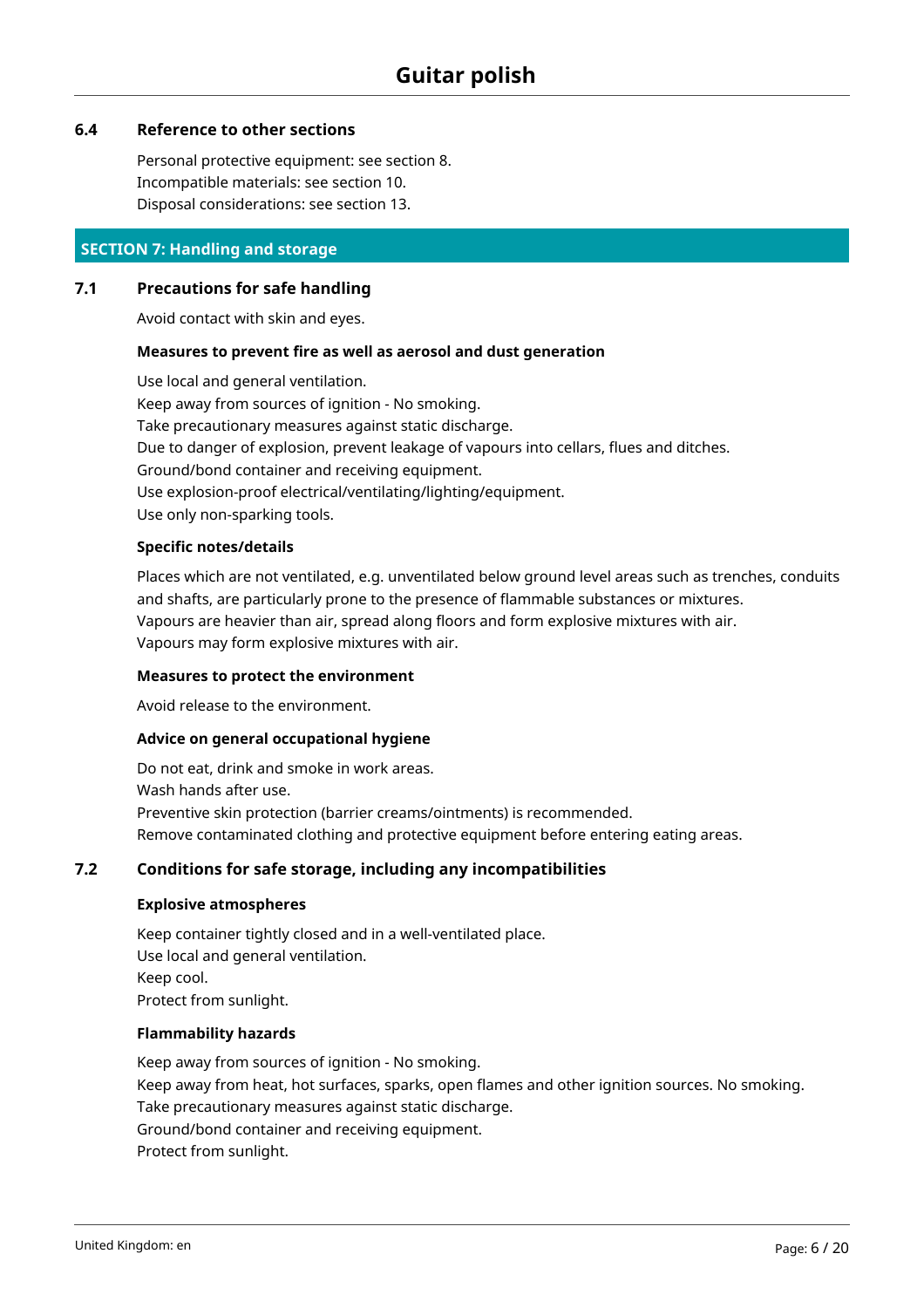#### **6.4 Reference to other sections**

Personal protective equipment: see section 8. Incompatible materials: see section 10. Disposal considerations: see section 13.

# **SECTION 7: Handling and storage**

#### **7.1 Precautions for safe handling**

Avoid contact with skin and eyes.

#### **Measures to prevent fire as well as aerosol and dust generation**

Use local and general ventilation. Keep away from sources of ignition - No smoking. Take precautionary measures against static discharge. Due to danger of explosion, prevent leakage of vapours into cellars, flues and ditches. Ground/bond container and receiving equipment. Use explosion-proof electrical/ventilating/lighting/equipment. Use only non-sparking tools.

#### **Specific notes/details**

Places which are not ventilated, e.g. unventilated below ground level areas such as trenches, conduits and shafts, are particularly prone to the presence of flammable substances or mixtures. Vapours are heavier than air, spread along floors and form explosive mixtures with air. Vapours may form explosive mixtures with air.

#### **Measures to protect the environment**

Avoid release to the environment.

#### **Advice on general occupational hygiene**

Do not eat, drink and smoke in work areas. Wash hands after use. Preventive skin protection (barrier creams/ointments) is recommended. Remove contaminated clothing and protective equipment before entering eating areas.

# **7.2 Conditions for safe storage, including any incompatibilities**

#### **Explosive atmospheres**

Keep container tightly closed and in a well-ventilated place. Use local and general ventilation. Keep cool. Protect from sunlight.

#### **Flammability hazards**

Keep away from sources of ignition - No smoking. Keep away from heat, hot surfaces, sparks, open flames and other ignition sources. No smoking. Take precautionary measures against static discharge. Ground/bond container and receiving equipment. Protect from sunlight.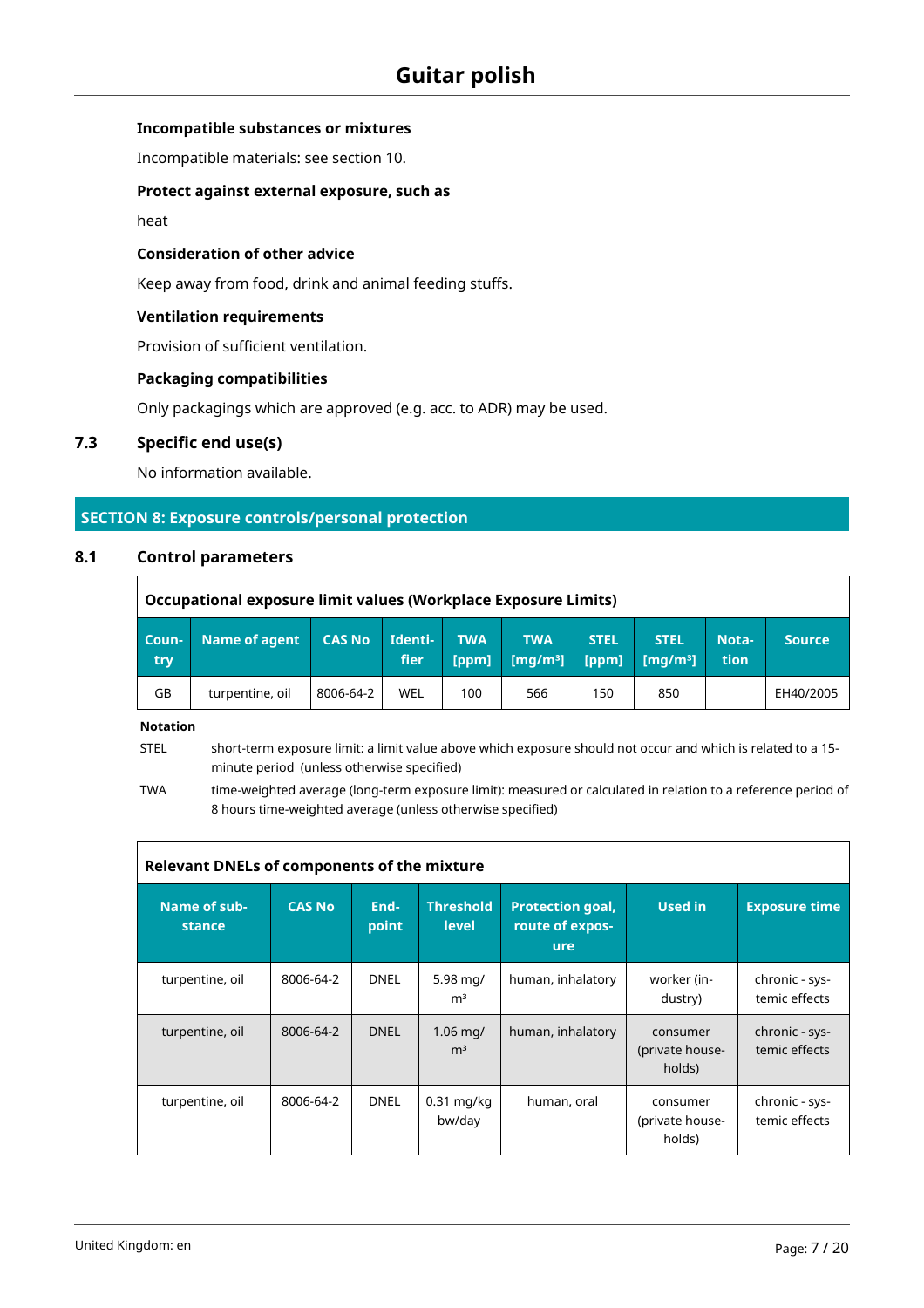#### **Incompatible substances or mixtures**

Incompatible materials: see section 10.

#### **Protect against external exposure, such as**

heat

#### **Consideration of other advice**

Keep away from food, drink and animal feeding stuffs.

#### **Ventilation requirements**

Provision of sufficient ventilation.

#### **Packaging compatibilities**

Only packagings which are approved (e.g. acc. to ADR) may be used.

# **7.3 Specific end use(s)**

No information available.

#### **SECTION 8: Exposure controls/personal protection**

#### **8.1 Control parameters**

F

|               | Occupational exposure limit values (Workplace Exposure Limits) |               |                 |                     |                           |                      |                                              |                            |               |  |  |  |  |  |
|---------------|----------------------------------------------------------------|---------------|-----------------|---------------------|---------------------------|----------------------|----------------------------------------------|----------------------------|---------------|--|--|--|--|--|
| Coun-<br>try. | Name of agent                                                  | <b>CAS No</b> | Identi-<br>fier | <b>TWA</b><br>[ppm] | <b>TWA</b><br>[ $mq/m3$ ] | <b>STEL</b><br>[ppm] | <b>STEL</b><br>$\left[\frac{mq}{m^3}\right]$ | Nota-<br>tion <sup>'</sup> | <b>Source</b> |  |  |  |  |  |
| GB            | turpentine, oil                                                | 8006-64-2     | WEL             | 100                 | 566                       | 150                  | 850                                          |                            | EH40/2005     |  |  |  |  |  |

**Notation**

STEL short-term exposure limit: a limit value above which exposure should not occur and which is related to a 15 minute period (unless otherwise specified)

TWA time-weighted average (long-term exposure limit): measured or calculated in relation to a reference period of 8 hours time-weighted average (unless otherwise specified)

| Relevant DNELs of components of the mixture |               |               |                                        |                                                   |                                       |                                 |  |  |  |  |  |  |  |
|---------------------------------------------|---------------|---------------|----------------------------------------|---------------------------------------------------|---------------------------------------|---------------------------------|--|--|--|--|--|--|--|
| Name of sub-<br>stance                      | <b>CAS No</b> | End-<br>point | <b>Threshold</b><br><b>level</b>       | <b>Protection goal,</b><br>route of expos-<br>ure | Used in                               | <b>Exposure time</b>            |  |  |  |  |  |  |  |
| turpentine, oil                             | 8006-64-2     | <b>DNEL</b>   | $5.98$ mg/<br>m <sup>3</sup>           | human, inhalatory                                 | worker (in-<br>dustry)                | chronic - sys-<br>temic effects |  |  |  |  |  |  |  |
| turpentine, oil                             | 8006-64-2     | <b>DNEL</b>   | $1.06 \,\mathrm{mq}$<br>m <sup>3</sup> | human, inhalatory                                 | consumer<br>(private house-<br>holds) | chronic - sys-<br>temic effects |  |  |  |  |  |  |  |
| turpentine, oil                             | 8006-64-2     | <b>DNEL</b>   | $0.31$ mg/kg<br>bw/day                 | human, oral                                       | consumer<br>(private house-<br>holds) | chronic - sys-<br>temic effects |  |  |  |  |  |  |  |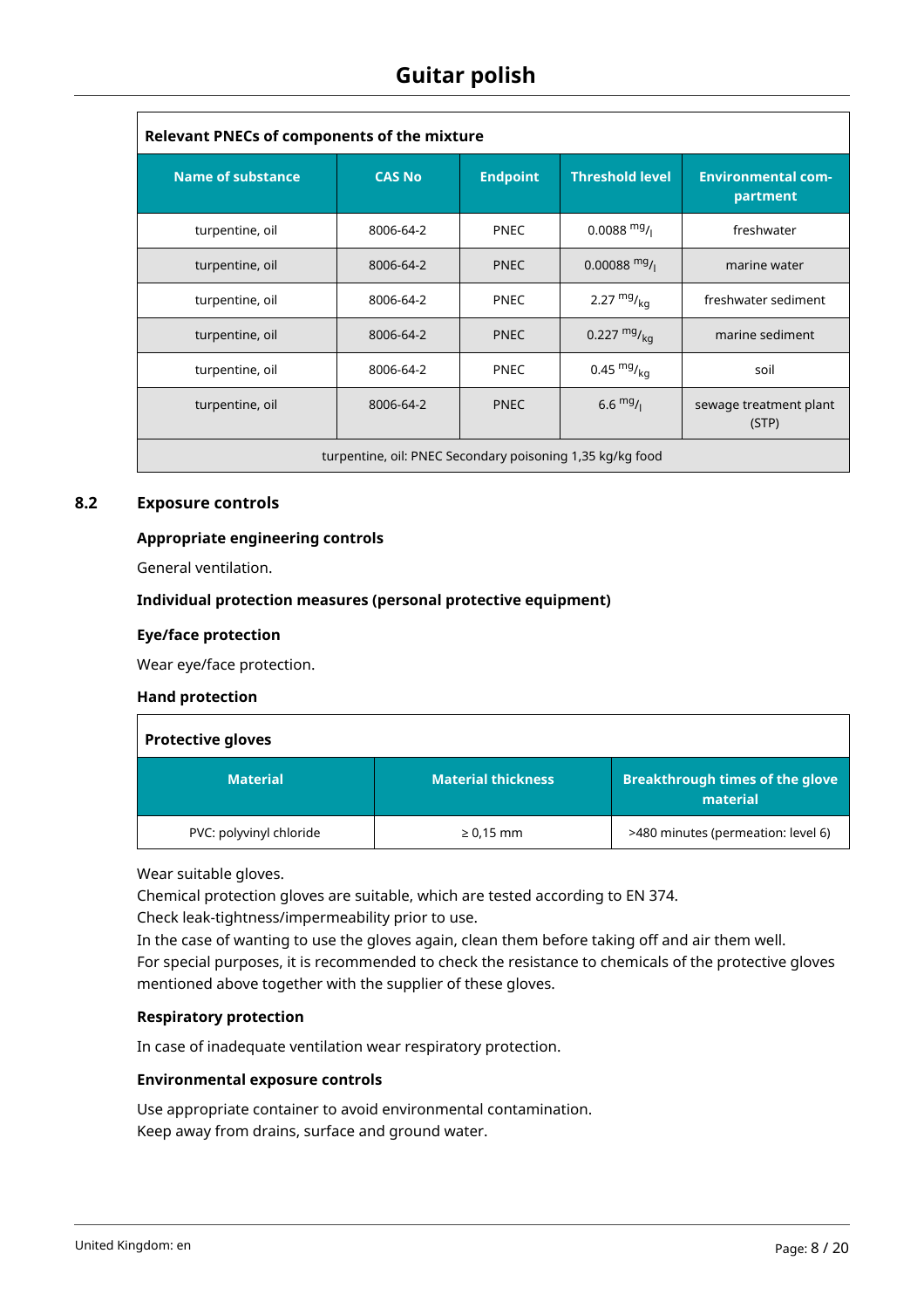| <b>Relevant PNECs of components of the mixture</b>        |               |                 |                           |                                       |  |  |  |  |  |  |  |  |
|-----------------------------------------------------------|---------------|-----------------|---------------------------|---------------------------------------|--|--|--|--|--|--|--|--|
| <b>Name of substance</b>                                  | <b>CAS No</b> | <b>Endpoint</b> | <b>Threshold level</b>    | <b>Environmental com-</b><br>partment |  |  |  |  |  |  |  |  |
| turpentine, oil                                           | 8006-64-2     | <b>PNEC</b>     | $0.0088$ mg/ <sub>1</sub> | freshwater                            |  |  |  |  |  |  |  |  |
| turpentine, oil                                           | 8006-64-2     | <b>PNEC</b>     | $0.00088$ mg/             | marine water                          |  |  |  |  |  |  |  |  |
| turpentine, oil                                           | 8006-64-2     | <b>PNEC</b>     | 2.27 $mg/kq$              | freshwater sediment                   |  |  |  |  |  |  |  |  |
| turpentine, oil                                           | 8006-64-2     | <b>PNEC</b>     | 0.227 $mg/kq$             | marine sediment                       |  |  |  |  |  |  |  |  |
| turpentine, oil                                           | 8006-64-2     | <b>PNEC</b>     | 0.45 $mg/kq$              | soil                                  |  |  |  |  |  |  |  |  |
| turpentine, oil                                           | 8006-64-2     | <b>PNEC</b>     | $6.6 \frac{mg}{l}$        | sewage treatment plant<br>(STP)       |  |  |  |  |  |  |  |  |
| turpentine, oil: PNEC Secondary poisoning 1,35 kg/kg food |               |                 |                           |                                       |  |  |  |  |  |  |  |  |

### **8.2 Exposure controls**

#### **Appropriate engineering controls**

General ventilation.

#### **Individual protection measures (personal protective equipment)**

#### **Eye/face protection**

Wear eye/face protection.

#### **Hand protection**

| <b>Protective gloves</b> |                           |                                                    |  |  |  |  |  |  |  |  |
|--------------------------|---------------------------|----------------------------------------------------|--|--|--|--|--|--|--|--|
| <b>Material</b>          | <b>Material thickness</b> | <b>Breakthrough times of the glove</b><br>material |  |  |  |  |  |  |  |  |
| PVC: polyvinyl chloride  | $\geq 0.15$ mm            | >480 minutes (permeation: level 6)                 |  |  |  |  |  |  |  |  |

Wear suitable gloves.

Chemical protection gloves are suitable, which are tested according to EN 374.

Check leak-tightness/impermeability prior to use.

In the case of wanting to use the gloves again, clean them before taking off and air them well. For special purposes, it is recommended to check the resistance to chemicals of the protective gloves mentioned above together with the supplier of these gloves.

#### **Respiratory protection**

In case of inadequate ventilation wear respiratory protection.

#### **Environmental exposure controls**

Use appropriate container to avoid environmental contamination. Keep away from drains, surface and ground water.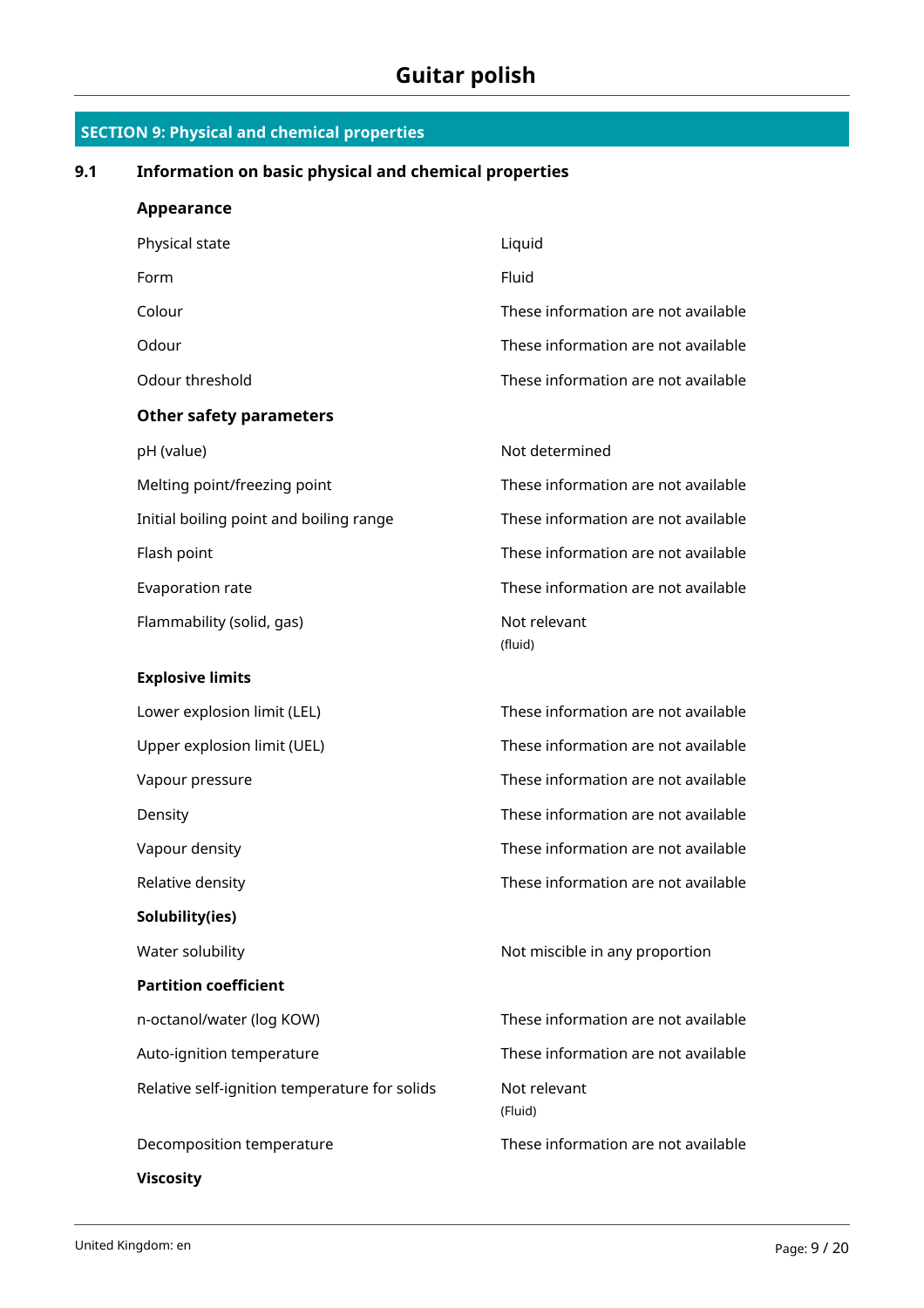| Information on basic physical and chemical properties |                                     |  |  |  |  |  |  |  |  |  |
|-------------------------------------------------------|-------------------------------------|--|--|--|--|--|--|--|--|--|
| <b>Appearance</b>                                     |                                     |  |  |  |  |  |  |  |  |  |
| Physical state                                        | Liquid                              |  |  |  |  |  |  |  |  |  |
| Form                                                  | Fluid                               |  |  |  |  |  |  |  |  |  |
| Colour                                                | These information are not available |  |  |  |  |  |  |  |  |  |
| Odour                                                 | These information are not available |  |  |  |  |  |  |  |  |  |
| Odour threshold                                       | These information are not available |  |  |  |  |  |  |  |  |  |
| <b>Other safety parameters</b>                        |                                     |  |  |  |  |  |  |  |  |  |
| pH (value)                                            | Not determined                      |  |  |  |  |  |  |  |  |  |
| Melting point/freezing point                          | These information are not available |  |  |  |  |  |  |  |  |  |
| Initial boiling point and boiling range               | These information are not available |  |  |  |  |  |  |  |  |  |
| Flash point                                           | These information are not available |  |  |  |  |  |  |  |  |  |
| Evaporation rate                                      | These information are not available |  |  |  |  |  |  |  |  |  |
| Flammability (solid, gas)                             | Not relevant<br>(fluid)             |  |  |  |  |  |  |  |  |  |
| <b>Explosive limits</b>                               |                                     |  |  |  |  |  |  |  |  |  |
| Lower explosion limit (LEL)                           | These information are not available |  |  |  |  |  |  |  |  |  |
| Upper explosion limit (UEL)                           | These information are not available |  |  |  |  |  |  |  |  |  |
| Vapour pressure                                       | These information are not available |  |  |  |  |  |  |  |  |  |
| Density                                               | These information are not available |  |  |  |  |  |  |  |  |  |
| Vapour density                                        | These information are not available |  |  |  |  |  |  |  |  |  |
| Relative density                                      | These information are not available |  |  |  |  |  |  |  |  |  |
| Solubility(ies)                                       |                                     |  |  |  |  |  |  |  |  |  |
| Water solubility                                      | Not miscible in any proportion      |  |  |  |  |  |  |  |  |  |
| <b>Partition coefficient</b>                          |                                     |  |  |  |  |  |  |  |  |  |
| n-octanol/water (log KOW)                             | These information are not available |  |  |  |  |  |  |  |  |  |
| Auto-ignition temperature                             | These information are not available |  |  |  |  |  |  |  |  |  |
| Relative self-ignition temperature for solids         | Not relevant<br>(Fluid)             |  |  |  |  |  |  |  |  |  |
| Decomposition temperature                             | These information are not available |  |  |  |  |  |  |  |  |  |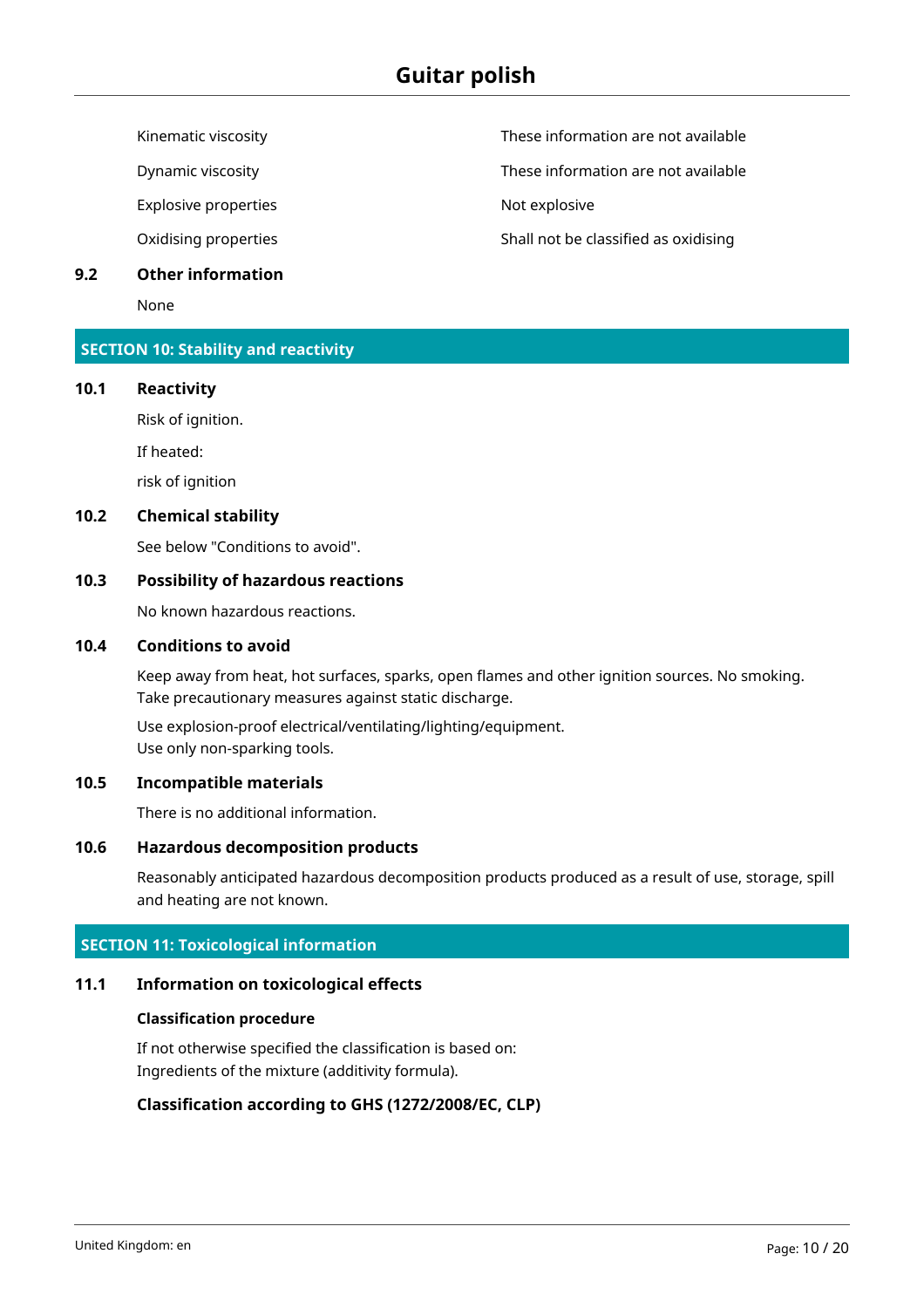Explosive properties and the state of the Not explosive

#### **9.2 Other information**

None

### **SECTION 10: Stability and reactivity**

#### **10.1 Reactivity**

Risk of ignition.

If heated:

risk of ignition

#### **10.2 Chemical stability**

See below "Conditions to avoid".

### **10.3 Possibility of hazardous reactions**

No known hazardous reactions.

#### **10.4 Conditions to avoid**

Keep away from heat, hot surfaces, sparks, open flames and other ignition sources. No smoking. Take precautionary measures against static discharge.

Use explosion-proof electrical/ventilating/lighting/equipment. Use only non-sparking tools.

#### **10.5 Incompatible materials**

There is no additional information.

# **10.6 Hazardous decomposition products**

Reasonably anticipated hazardous decomposition products produced as a result of use, storage, spill and heating are not known.

# **SECTION 11: Toxicological information**

# **11.1 Information on toxicological effects**

# **Classification procedure**

If not otherwise specified the classification is based on: Ingredients of the mixture (additivity formula).

# **Classification according to GHS (1272/2008/EC, CLP)**

Kinematic viscosity **These information are not available** 

Dynamic viscosity These information are not available

Oxidising properties The Shall not be classified as oxidising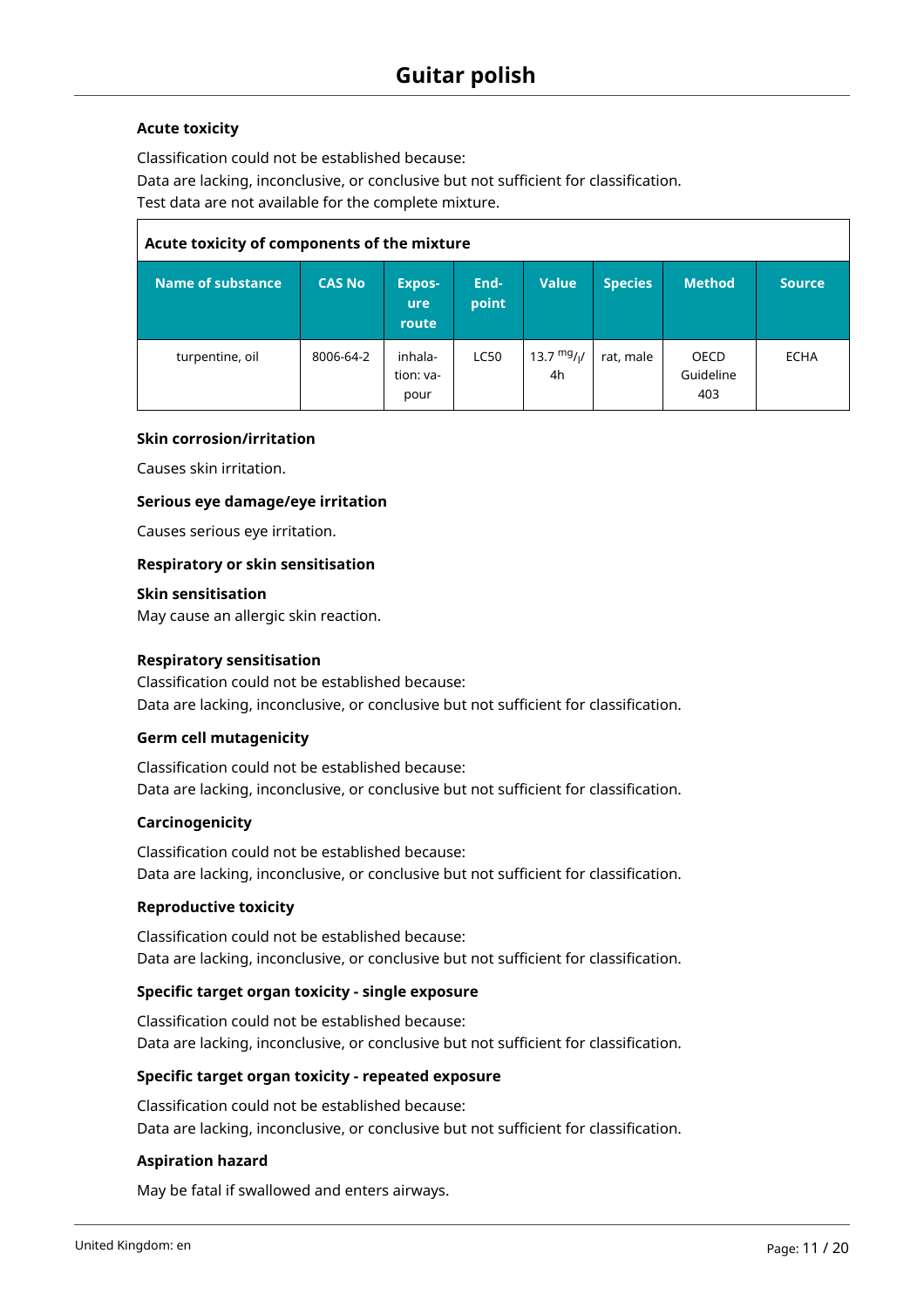#### **Acute toxicity**

Classification could not be established because: Data are lacking, inconclusive, or conclusive but not sufficient for classification. Test data are not available for the complete mixture.

| Acute toxicity of components of the mixture |               |                                      |               |                   |                |                          |               |  |  |  |  |  |
|---------------------------------------------|---------------|--------------------------------------|---------------|-------------------|----------------|--------------------------|---------------|--|--|--|--|--|
| Name of substance                           | <b>CAS No</b> | <b>Expos-</b><br><b>ure</b><br>route | End-<br>point | <b>Value</b>      | <b>Species</b> | <b>Method</b>            | <b>Source</b> |  |  |  |  |  |
| turpentine, oil                             | 8006-64-2     | inhala-<br>tion: va-<br>pour         | <b>LC50</b>   | 13.7 $mg/1$<br>4h | rat, male      | OECD<br>Guideline<br>403 | <b>ECHA</b>   |  |  |  |  |  |

#### **Skin corrosion/irritation**

Causes skin irritation.

#### **Serious eye damage/eye irritation**

Causes serious eye irritation.

#### **Respiratory or skin sensitisation**

#### **Skin sensitisation**

May cause an allergic skin reaction.

#### **Respiratory sensitisation**

Classification could not be established because: Data are lacking, inconclusive, or conclusive but not sufficient for classification.

#### **Germ cell mutagenicity**

Classification could not be established because: Data are lacking, inconclusive, or conclusive but not sufficient for classification.

#### **Carcinogenicity**

Classification could not be established because: Data are lacking, inconclusive, or conclusive but not sufficient for classification.

#### **Reproductive toxicity**

Classification could not be established because: Data are lacking, inconclusive, or conclusive but not sufficient for classification.

#### **Specific target organ toxicity - single exposure**

Classification could not be established because: Data are lacking, inconclusive, or conclusive but not sufficient for classification.

#### **Specific target organ toxicity - repeated exposure**

Classification could not be established because: Data are lacking, inconclusive, or conclusive but not sufficient for classification.

#### **Aspiration hazard**

May be fatal if swallowed and enters airways.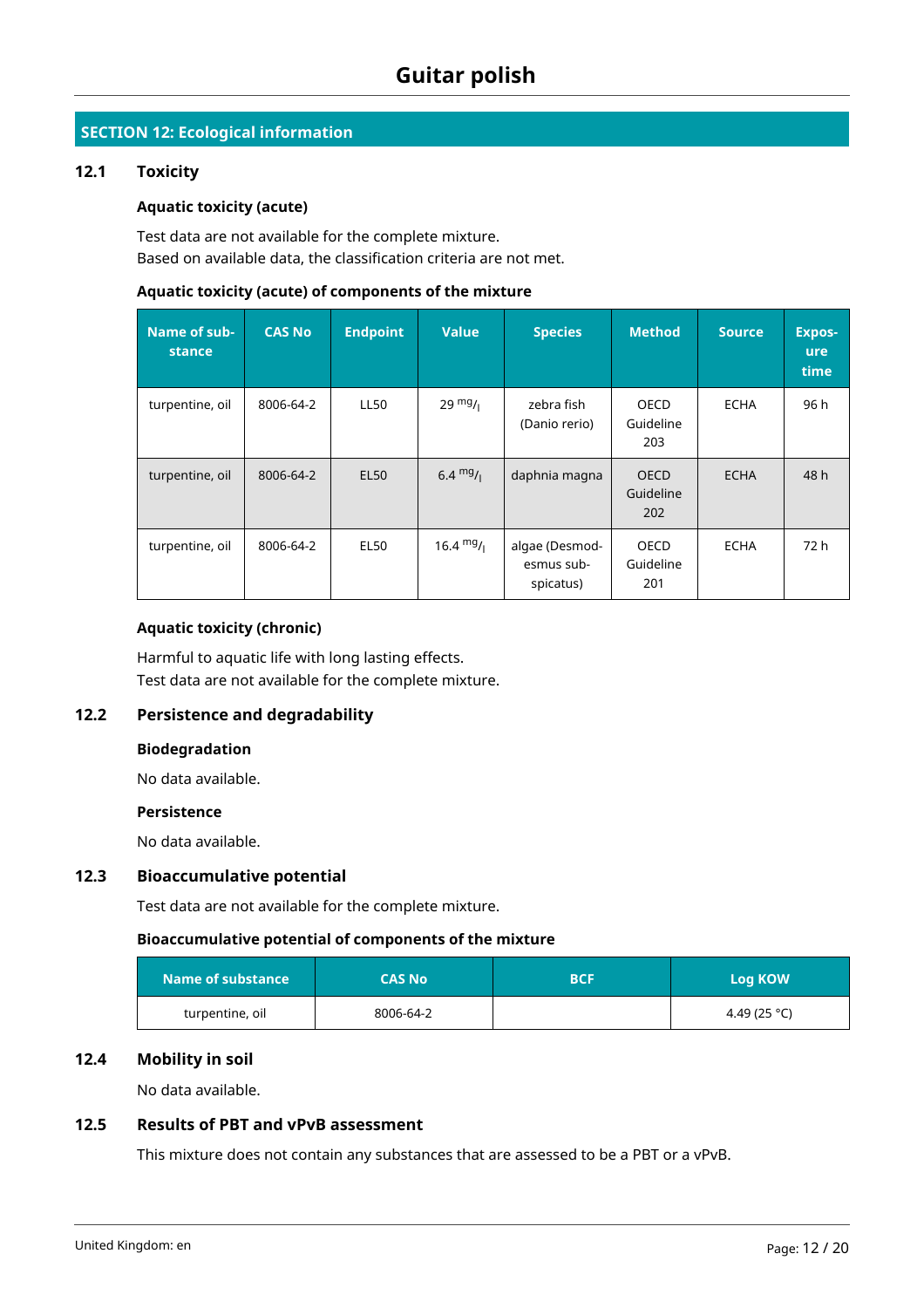# **SECTION 12: Ecological information**

#### **12.1 Toxicity**

#### **Aquatic toxicity (acute)**

Test data are not available for the complete mixture. Based on available data, the classification criteria are not met.

#### **Aquatic toxicity (acute) of components of the mixture**

| Name of sub-<br>stance | <b>CAS No</b> | <b>Endpoint</b> | <b>Value</b>        | <b>Species</b>                            | <b>Method</b>                   | <b>Source</b> | <b>Expos-</b><br><b>ure</b><br>time |
|------------------------|---------------|-----------------|---------------------|-------------------------------------------|---------------------------------|---------------|-------------------------------------|
| turpentine, oil        | 8006-64-2     | LL50            | $29 \frac{mg}{l}$   | zebra fish<br>(Danio rerio)               | OECD<br>Guideline<br>203        | <b>ECHA</b>   | 96 h                                |
| turpentine, oil        | 8006-64-2     | <b>EL50</b>     | 6.4 $mg/1$          | daphnia magna                             | <b>OECD</b><br>Guideline<br>202 | <b>ECHA</b>   | 48 h                                |
| turpentine, oil        | 8006-64-2     | <b>EL50</b>     | $16.4 \text{ mg}/1$ | algae (Desmod-<br>esmus sub-<br>spicatus) | OECD<br>Guideline<br>201        | <b>ECHA</b>   | 72 h                                |

# **Aquatic toxicity (chronic)**

Harmful to aquatic life with long lasting effects. Test data are not available for the complete mixture.

# **12.2 Persistence and degradability**

### **Biodegradation**

No data available.

#### **Persistence**

No data available.

### **12.3 Bioaccumulative potential**

Test data are not available for the complete mixture.

#### **Bioaccumulative potential of components of the mixture**

| Name of substance | <b>CAS No</b> | <b>BCF</b> | <b>Log KOW</b> |
|-------------------|---------------|------------|----------------|
| turpentine, oil   | 8006-64-2     |            | 4.49 (25 °C)   |

#### **12.4 Mobility in soil**

No data available.

# **12.5 Results of PBT and vPvB assessment**

This mixture does not contain any substances that are assessed to be a PBT or a vPvB.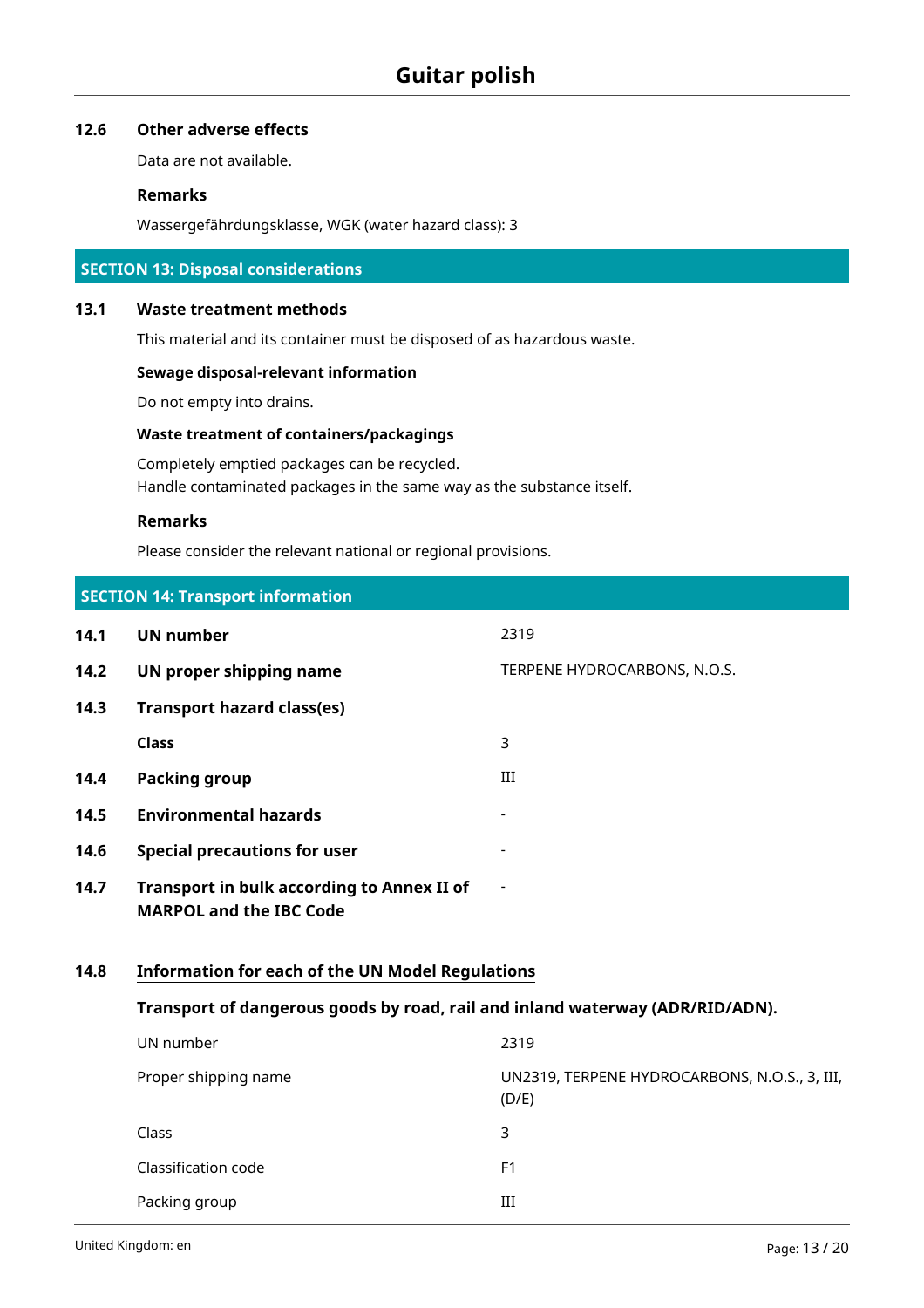# **12.6 Other adverse effects**

Data are not available.

#### **Remarks**

Wassergefährdungsklasse, WGK (water hazard class): 3

#### **SECTION 13: Disposal considerations**

#### **13.1 Waste treatment methods**

This material and its container must be disposed of as hazardous waste.

#### **Sewage disposal-relevant information**

Do not empty into drains.

# **Waste treatment of containers/packagings**

Completely emptied packages can be recycled. Handle contaminated packages in the same way as the substance itself.

# **Remarks**

Please consider the relevant national or regional provisions.

|      | <b>SECTION 14: Transport information</b>                                            |                                                        |
|------|-------------------------------------------------------------------------------------|--------------------------------------------------------|
| 14.1 | <b>UN number</b>                                                                    | 2319                                                   |
| 14.2 | UN proper shipping name                                                             | TERPENE HYDROCARBONS, N.O.S.                           |
| 14.3 | <b>Transport hazard class(es)</b>                                                   |                                                        |
|      | <b>Class</b>                                                                        | 3                                                      |
| 14.4 | <b>Packing group</b>                                                                | III                                                    |
| 14.5 | <b>Environmental hazards</b>                                                        |                                                        |
| 14.6 | <b>Special precautions for user</b>                                                 |                                                        |
| 14.7 | <b>Transport in bulk according to Annex II of</b><br><b>MARPOL and the IBC Code</b> |                                                        |
| 14.8 | <b>Information for each of the UN Model Regulations</b>                             |                                                        |
|      | Transport of dangerous goods by road, rail and inland waterway (ADR/RID/ADN).       |                                                        |
|      | UN number                                                                           | 2319                                                   |
|      | Proper shipping name                                                                | UN2319, TERPENE HYDROCARBONS, N.O.S., 3, III,<br>(D/E) |
|      | Class                                                                               | 3                                                      |
|      | Classification code                                                                 | F <sub>1</sub>                                         |
|      | Packing group                                                                       | III                                                    |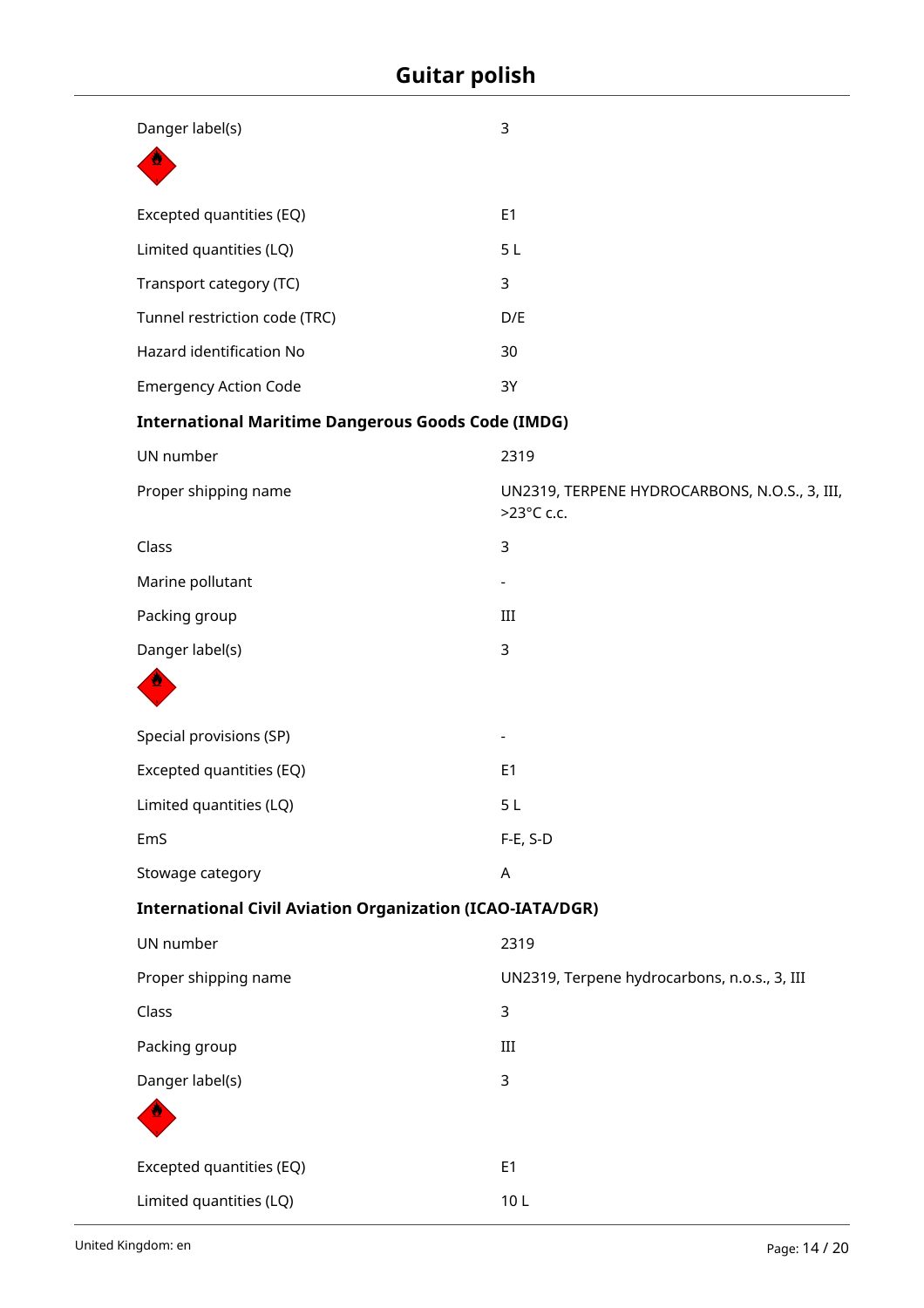| Danger label(s)                                                  | 3                                                           |
|------------------------------------------------------------------|-------------------------------------------------------------|
|                                                                  |                                                             |
| Excepted quantities (EQ)                                         | E1                                                          |
| Limited quantities (LQ)                                          | 5 <sub>L</sub>                                              |
| Transport category (TC)                                          | 3                                                           |
| Tunnel restriction code (TRC)                                    | D/E                                                         |
| Hazard identification No                                         | 30                                                          |
| <b>Emergency Action Code</b>                                     | 3Y                                                          |
| <b>International Maritime Dangerous Goods Code (IMDG)</b>        |                                                             |
| UN number                                                        | 2319                                                        |
| Proper shipping name                                             | UN2319, TERPENE HYDROCARBONS, N.O.S., 3, III,<br>>23°C c.c. |
| Class                                                            | 3                                                           |
| Marine pollutant                                                 |                                                             |
| Packing group                                                    | III                                                         |
| Danger label(s)                                                  | 3                                                           |
|                                                                  |                                                             |
| Special provisions (SP)                                          |                                                             |
| Excepted quantities (EQ)                                         | E <sub>1</sub>                                              |
| Limited quantities (LQ)                                          | 5 <sub>L</sub>                                              |
| EmS                                                              | $F-E, S-D$                                                  |
| Stowage category                                                 | A                                                           |
| <b>International Civil Aviation Organization (ICAO-IATA/DGR)</b> |                                                             |
| UN number                                                        | 2319                                                        |
| Proper shipping name                                             | UN2319, Terpene hydrocarbons, n.o.s., 3, III                |
| Class                                                            | 3                                                           |
| Packing group                                                    | $\rm III$                                                   |
| Danger label(s)                                                  | 3                                                           |
|                                                                  |                                                             |
| Excepted quantities (EQ)                                         | E1                                                          |
| Limited quantities (LQ)                                          | 10L                                                         |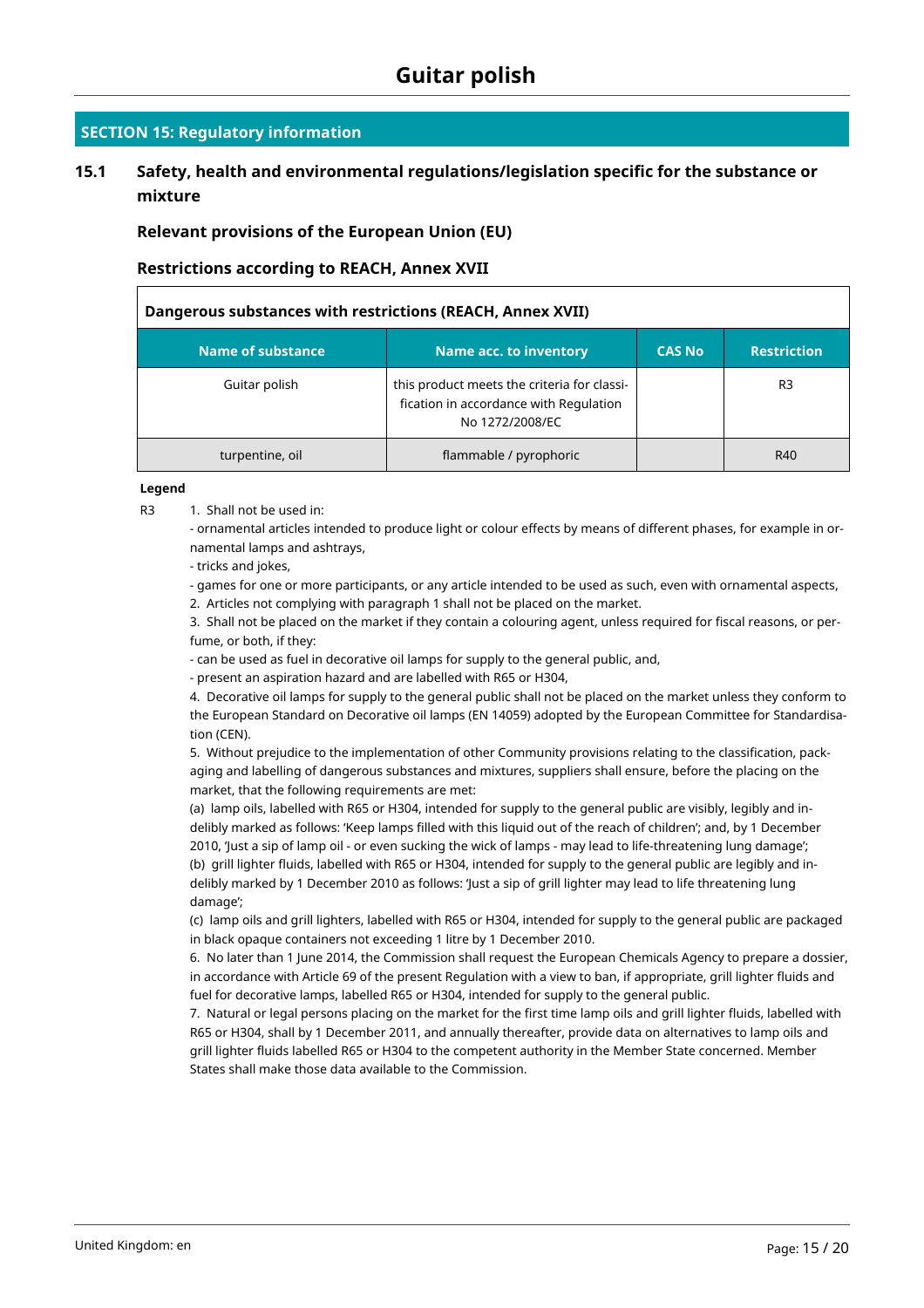# **SECTION 15: Regulatory information**

# **15.1 Safety, health and environmental regulations/legislation specific for the substance or mixture**

**Relevant provisions of the European Union (EU)**

#### **Restrictions according to REACH, Annex XVII**

| Dangerous substances with restrictions (REACH, Annex XVII) |                                                                                                          |               |                    |
|------------------------------------------------------------|----------------------------------------------------------------------------------------------------------|---------------|--------------------|
| <b>Name of substance</b>                                   | <b>Name acc. to inventory</b>                                                                            | <b>CAS No</b> | <b>Restriction</b> |
| Guitar polish                                              | this product meets the criteria for classi-<br>fication in accordance with Regulation<br>No 1272/2008/EC |               | R <sub>3</sub>     |
| turpentine, oil                                            | flammable / pyrophoric                                                                                   |               | R40                |

#### **Legend**

R3 1. Shall not be used in:

- ornamental articles intended to produce light or colour effects by means of different phases, for example in ornamental lamps and ashtrays,

- tricks and jokes,

- games for one or more participants, or any article intended to be used as such, even with ornamental aspects,

2. Articles not complying with paragraph 1 shall not be placed on the market.

3. Shall not be placed on the market if they contain a colouring agent, unless required for fiscal reasons, or perfume, or both, if they:

- can be used as fuel in decorative oil lamps for supply to the general public, and,

- present an aspiration hazard and are labelled with R65 or H304,

4. Decorative oil lamps for supply to the general public shall not be placed on the market unless they conform to the European Standard on Decorative oil lamps (EN 14059) adopted by the European Committee for Standardisation (CEN).

5. Without prejudice to the implementation of other Community provisions relating to the classification, packaging and labelling of dangerous substances and mixtures, suppliers shall ensure, before the placing on the market, that the following requirements are met:

(a) lamp oils, labelled with R65 or H304, intended for supply to the general public are visibly, legibly and indelibly marked as follows: 'Keep lamps filled with this liquid out of the reach of children'; and, by 1 December 2010, 'Just a sip of lamp oil - or even sucking the wick of lamps - may lead to life-threatening lung damage'; (b) grill lighter fluids, labelled with R65 or H304, intended for supply to the general public are legibly and in-

delibly marked by 1 December 2010 as follows: 'Just a sip of grill lighter may lead to life threatening lung damage';

(c) lamp oils and grill lighters, labelled with R65 or H304, intended for supply to the general public are packaged in black opaque containers not exceeding 1 litre by 1 December 2010.

6. No later than 1 June 2014, the Commission shall request the European Chemicals Agency to prepare a dossier, in accordance with Article 69 of the present Regulation with a view to ban, if appropriate, grill lighter fluids and fuel for decorative lamps, labelled R65 or H304, intended for supply to the general public.

7. Natural or legal persons placing on the market for the first time lamp oils and grill lighter fluids, labelled with R65 or H304, shall by 1 December 2011, and annually thereafter, provide data on alternatives to lamp oils and grill lighter fluids labelled R65 or H304 to the competent authority in the Member State concerned. Member States shall make those data available to the Commission.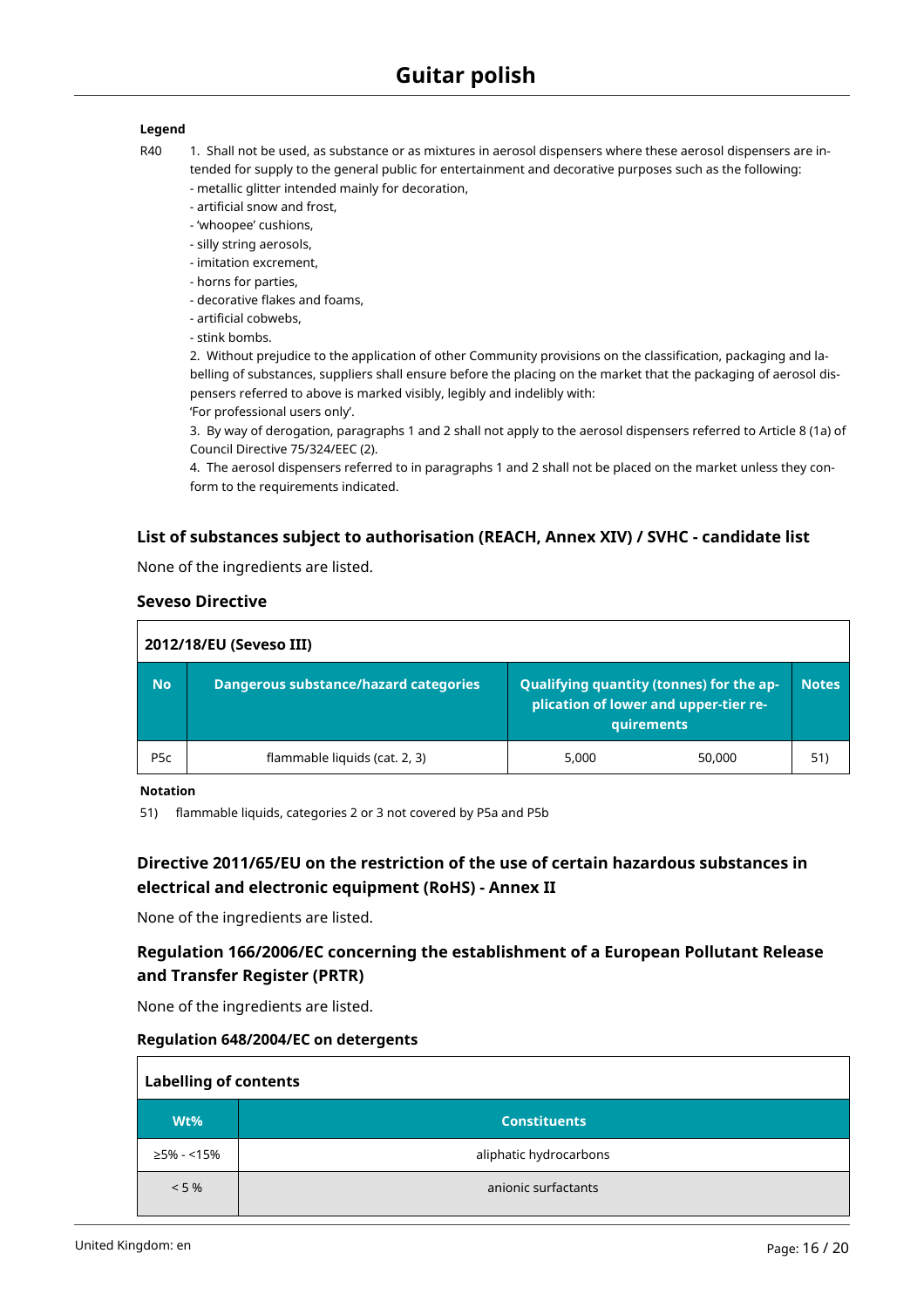#### **Legend**

- R40 1. Shall not be used, as substance or as mixtures in aerosol dispensers where these aerosol dispensers are intended for supply to the general public for entertainment and decorative purposes such as the following: - metallic glitter intended mainly for decoration,
	- artificial snow and frost,
	- 'whoopee' cushions,
	- silly string aerosols,
	- imitation excrement,
	- horns for parties,
	- decorative flakes and foams,
	- artificial cobwebs,
	- stink bombs.

2. Without prejudice to the application of other Community provisions on the classification, packaging and labelling of substances, suppliers shall ensure before the placing on the market that the packaging of aerosol dispensers referred to above is marked visibly, legibly and indelibly with:

'For professional users only'.

3. By way of derogation, paragraphs 1 and 2 shall not apply to the aerosol dispensers referred to Article 8 (1a) of Council Directive 75/324/EEC (2).

4. The aerosol dispensers referred to in paragraphs 1 and 2 shall not be placed on the market unless they conform to the requirements indicated.

### **List of substances subject to authorisation (REACH, Annex XIV) / SVHC - candidate list**

None of the ingredients are listed.

#### **Seveso Directive**

| 2012/18/EU (Seveso III) |                                              |                                                                                                 |              |
|-------------------------|----------------------------------------------|-------------------------------------------------------------------------------------------------|--------------|
| <b>No</b>               | <b>Dangerous substance/hazard categories</b> | Qualifying quantity (tonnes) for the ap-<br>plication of lower and upper-tier re-<br>quirements | <b>Notes</b> |
| P <sub>5</sub> c        | flammable liquids (cat. 2, 3)                | 5,000<br>50,000                                                                                 | 51)          |

#### **Notation**

51) flammable liquids, categories 2 or 3 not covered by P5a and P5b

# **Directive 2011/65/EU on the restriction of the use of certain hazardous substances in electrical and electronic equipment (RoHS) - Annex II**

None of the ingredients are listed.

# **Regulation 166/2006/EC concerning the establishment of a European Pollutant Release and Transfer Register (PRTR)**

None of the ingredients are listed.

#### **Regulation 648/2004/EC on detergents**

| <b>Labelling of contents</b> |                        |  |
|------------------------------|------------------------|--|
| Wt%                          | <b>Constituents</b>    |  |
| ≥5% - <15%                   | aliphatic hydrocarbons |  |
| $< 5 \%$                     | anionic surfactants    |  |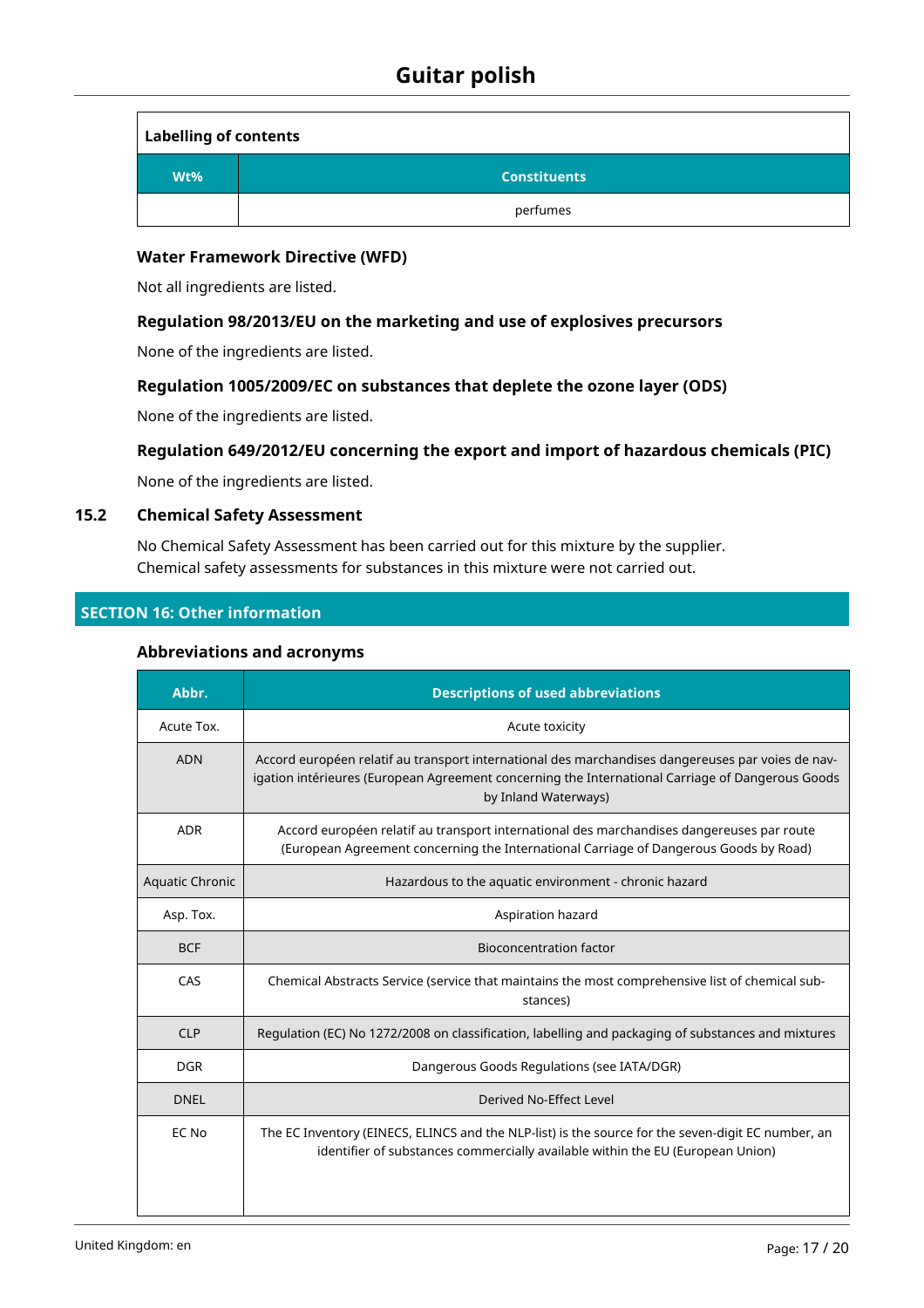| <b>Labelling of contents</b> |                     |
|------------------------------|---------------------|
| Wt%                          | <b>Constituents</b> |
|                              | perfumes            |

### **Water Framework Directive (WFD)**

Not all ingredients are listed.

# **Regulation 98/2013/EU on the marketing and use of explosives precursors**

None of the ingredients are listed.

# **Regulation 1005/2009/EC on substances that deplete the ozone layer (ODS)**

None of the ingredients are listed.

### **Regulation 649/2012/EU concerning the export and import of hazardous chemicals (PIC)**

None of the ingredients are listed.

#### **15.2 Chemical Safety Assessment**

No Chemical Safety Assessment has been carried out for this mixture by the supplier. Chemical safety assessments for substances in this mixture were not carried out.

#### **SECTION 16: Other information**

#### **Abbreviations and acronyms**

| Abbr.           | <b>Descriptions of used abbreviations</b>                                                                                                                                                                                     |
|-----------------|-------------------------------------------------------------------------------------------------------------------------------------------------------------------------------------------------------------------------------|
| Acute Tox.      | Acute toxicity                                                                                                                                                                                                                |
| <b>ADN</b>      | Accord européen relatif au transport international des marchandises dangereuses par voies de nav-<br>igation intérieures (European Agreement concerning the International Carriage of Dangerous Goods<br>by Inland Waterways) |
| <b>ADR</b>      | Accord européen relatif au transport international des marchandises dangereuses par route<br>(European Agreement concerning the International Carriage of Dangerous Goods by Road)                                            |
| Aquatic Chronic | Hazardous to the aquatic environment - chronic hazard                                                                                                                                                                         |
| Asp. Tox.       | Aspiration hazard                                                                                                                                                                                                             |
| <b>BCF</b>      | <b>Bioconcentration factor</b>                                                                                                                                                                                                |
| CAS             | Chemical Abstracts Service (service that maintains the most comprehensive list of chemical sub-<br>stances)                                                                                                                   |
| <b>CLP</b>      | Regulation (EC) No 1272/2008 on classification, labelling and packaging of substances and mixtures                                                                                                                            |
| <b>DGR</b>      | Dangerous Goods Regulations (see IATA/DGR)                                                                                                                                                                                    |
| <b>DNEL</b>     | Derived No-Effect Level                                                                                                                                                                                                       |
| EC No           | The EC Inventory (EINECS, ELINCS and the NLP-list) is the source for the seven-digit EC number, an<br>identifier of substances commercially available within the EU (European Union)                                          |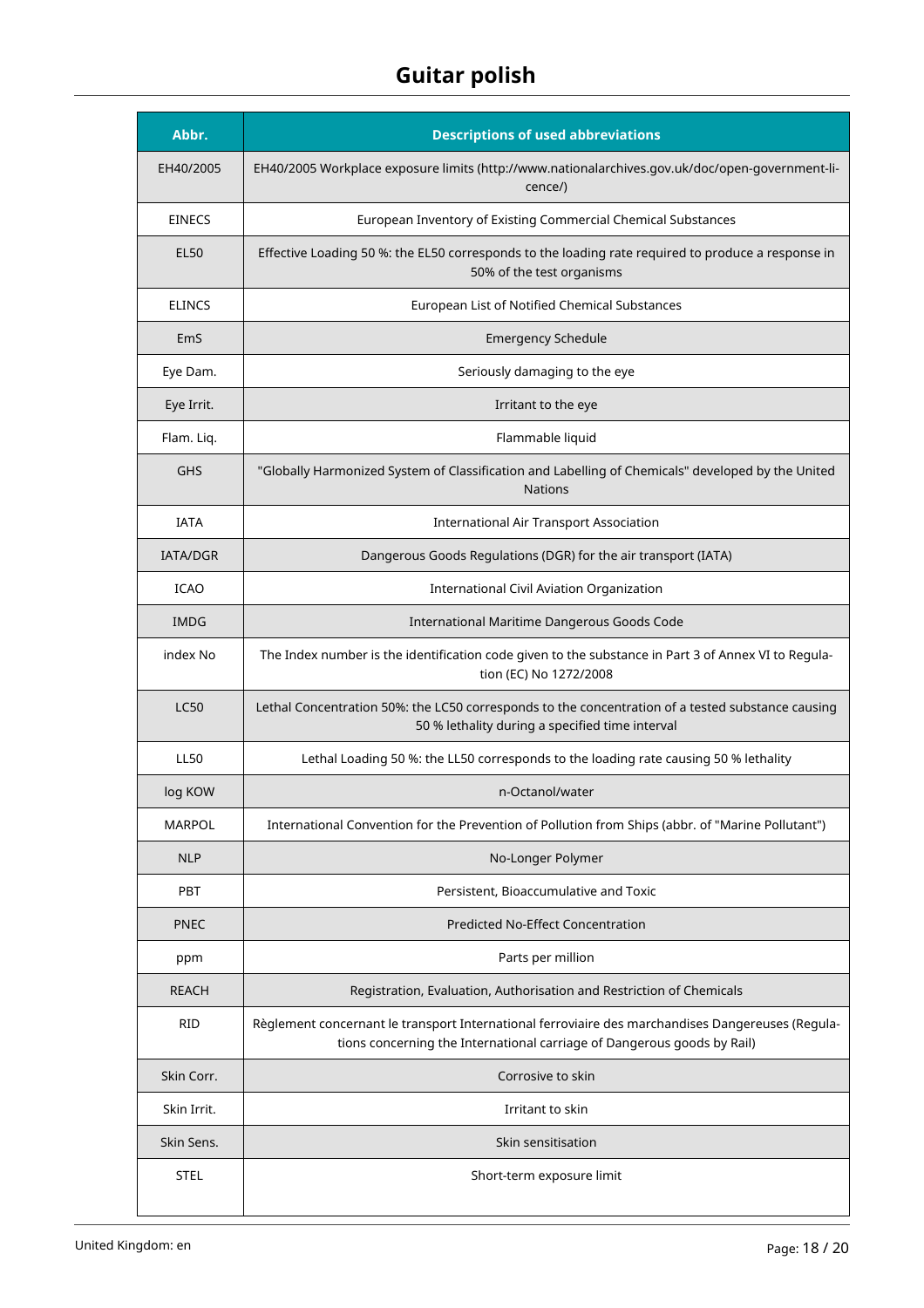| Abbr.           | <b>Descriptions of used abbreviations</b>                                                                                                                                    |
|-----------------|------------------------------------------------------------------------------------------------------------------------------------------------------------------------------|
| EH40/2005       | EH40/2005 Workplace exposure limits (http://www.nationalarchives.gov.uk/doc/open-government-li-<br>cence/)                                                                   |
| <b>EINECS</b>   | European Inventory of Existing Commercial Chemical Substances                                                                                                                |
| <b>EL50</b>     | Effective Loading 50 %: the EL50 corresponds to the loading rate required to produce a response in<br>50% of the test organisms                                              |
| <b>ELINCS</b>   | European List of Notified Chemical Substances                                                                                                                                |
| EmS             | <b>Emergency Schedule</b>                                                                                                                                                    |
| Eye Dam.        | Seriously damaging to the eye                                                                                                                                                |
| Eye Irrit.      | Irritant to the eye                                                                                                                                                          |
| Flam. Liq.      | Flammable liquid                                                                                                                                                             |
| <b>GHS</b>      | "Globally Harmonized System of Classification and Labelling of Chemicals" developed by the United<br><b>Nations</b>                                                          |
| <b>IATA</b>     | <b>International Air Transport Association</b>                                                                                                                               |
| <b>IATA/DGR</b> | Dangerous Goods Regulations (DGR) for the air transport (IATA)                                                                                                               |
| <b>ICAO</b>     | International Civil Aviation Organization                                                                                                                                    |
| <b>IMDG</b>     | International Maritime Dangerous Goods Code                                                                                                                                  |
| index No        | The Index number is the identification code given to the substance in Part 3 of Annex VI to Regula-<br>tion (EC) No 1272/2008                                                |
| <b>LC50</b>     | Lethal Concentration 50%: the LC50 corresponds to the concentration of a tested substance causing<br>50 % lethality during a specified time interval                         |
| <b>LL50</b>     | Lethal Loading 50 %: the LL50 corresponds to the loading rate causing 50 % lethality                                                                                         |
| log KOW         | n-Octanol/water                                                                                                                                                              |
| <b>MARPOL</b>   | International Convention for the Prevention of Pollution from Ships (abbr. of "Marine Pollutant")                                                                            |
| <b>NLP</b>      | No-Longer Polymer                                                                                                                                                            |
| <b>PBT</b>      | Persistent, Bioaccumulative and Toxic                                                                                                                                        |
| <b>PNEC</b>     | <b>Predicted No-Effect Concentration</b>                                                                                                                                     |
| ppm             | Parts per million                                                                                                                                                            |
| <b>REACH</b>    | Registration, Evaluation, Authorisation and Restriction of Chemicals                                                                                                         |
| RID             | Règlement concernant le transport International ferroviaire des marchandises Dangereuses (Regula-<br>tions concerning the International carriage of Dangerous goods by Rail) |
| Skin Corr.      | Corrosive to skin                                                                                                                                                            |
| Skin Irrit.     | Irritant to skin                                                                                                                                                             |
| Skin Sens.      | Skin sensitisation                                                                                                                                                           |
| <b>STEL</b>     | Short-term exposure limit                                                                                                                                                    |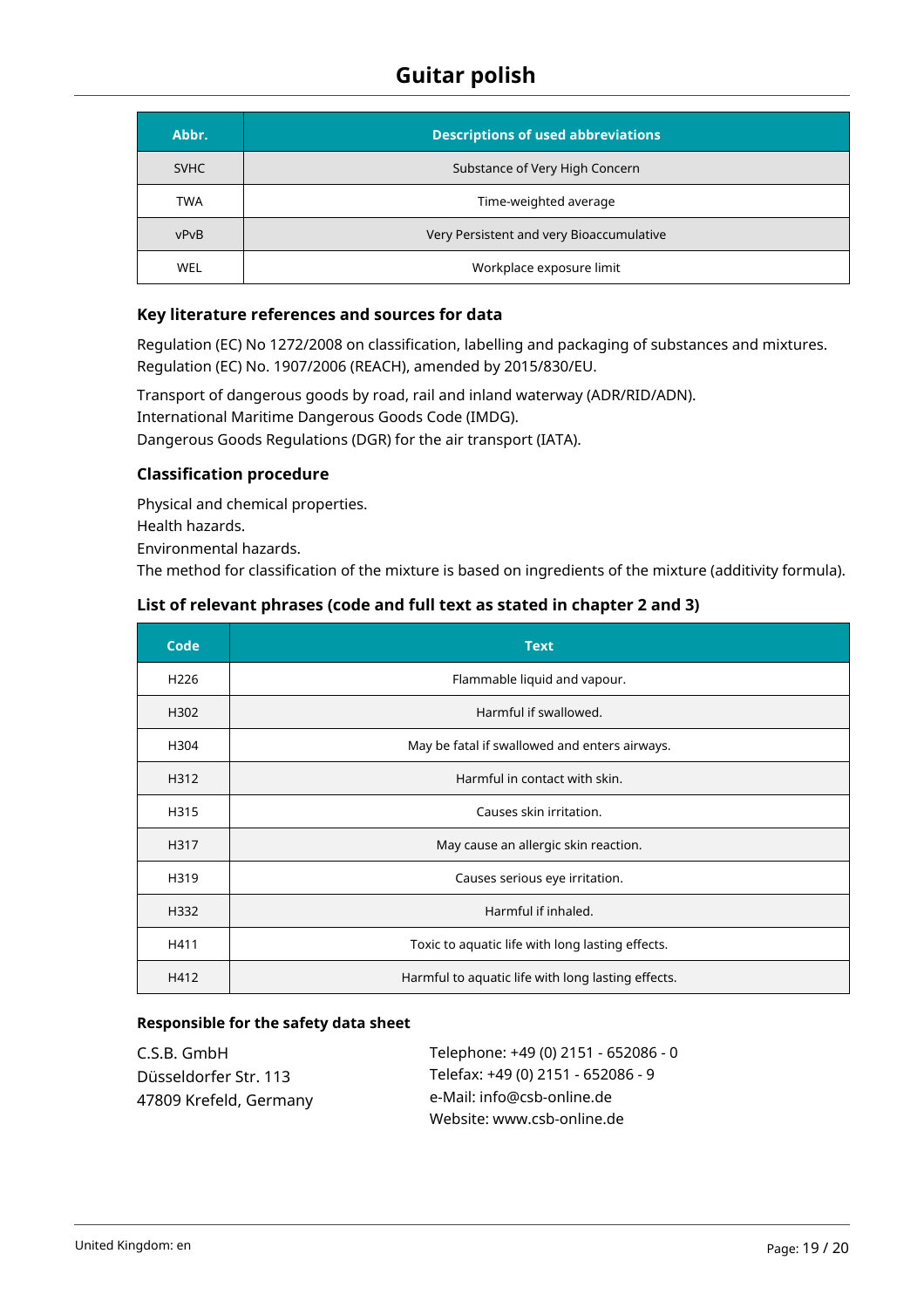| Abbr.       | <b>Descriptions of used abbreviations</b> |
|-------------|-------------------------------------------|
| <b>SVHC</b> | Substance of Very High Concern            |
| <b>TWA</b>  | Time-weighted average                     |
| vPvB        | Very Persistent and very Bioaccumulative  |
| <b>WEL</b>  | Workplace exposure limit                  |

#### **Key literature references and sources for data**

Regulation (EC) No 1272/2008 on classification, labelling and packaging of substances and mixtures. Regulation (EC) No. 1907/2006 (REACH), amended by 2015/830/EU.

Transport of dangerous goods by road, rail and inland waterway (ADR/RID/ADN). International Maritime Dangerous Goods Code (IMDG). Dangerous Goods Regulations (DGR) for the air transport (IATA).

### **Classification procedure**

Physical and chemical properties. Health hazards. Environmental hazards. The method for classification of the mixture is based on ingredients of the mixture (additivity formula).

# **List of relevant phrases (code and full text as stated in chapter 2 and 3)**

| Code             | <b>Text</b>                                        |
|------------------|----------------------------------------------------|
| H <sub>226</sub> | Flammable liquid and vapour.                       |
| H302             | Harmful if swallowed.                              |
| H304             | May be fatal if swallowed and enters airways.      |
| H312             | Harmful in contact with skin.                      |
| H315             | Causes skin irritation.                            |
| H317             | May cause an allergic skin reaction.               |
| H319             | Causes serious eye irritation.                     |
| H332             | Harmful if inhaled.                                |
| H411             | Toxic to aquatic life with long lasting effects.   |
| H412             | Harmful to aquatic life with long lasting effects. |

#### **Responsible for the safety data sheet**

| C.S.B. GmbH            | Telephone: +49 (0) 2151 - 652086 - 0 |
|------------------------|--------------------------------------|
| Düsseldorfer Str. 113  | Telefax: +49 (0) 2151 - 652086 - 9   |
| 47809 Krefeld, Germany | e-Mail: info@csb-online.de           |
|                        | Website: www.csb-online.de           |